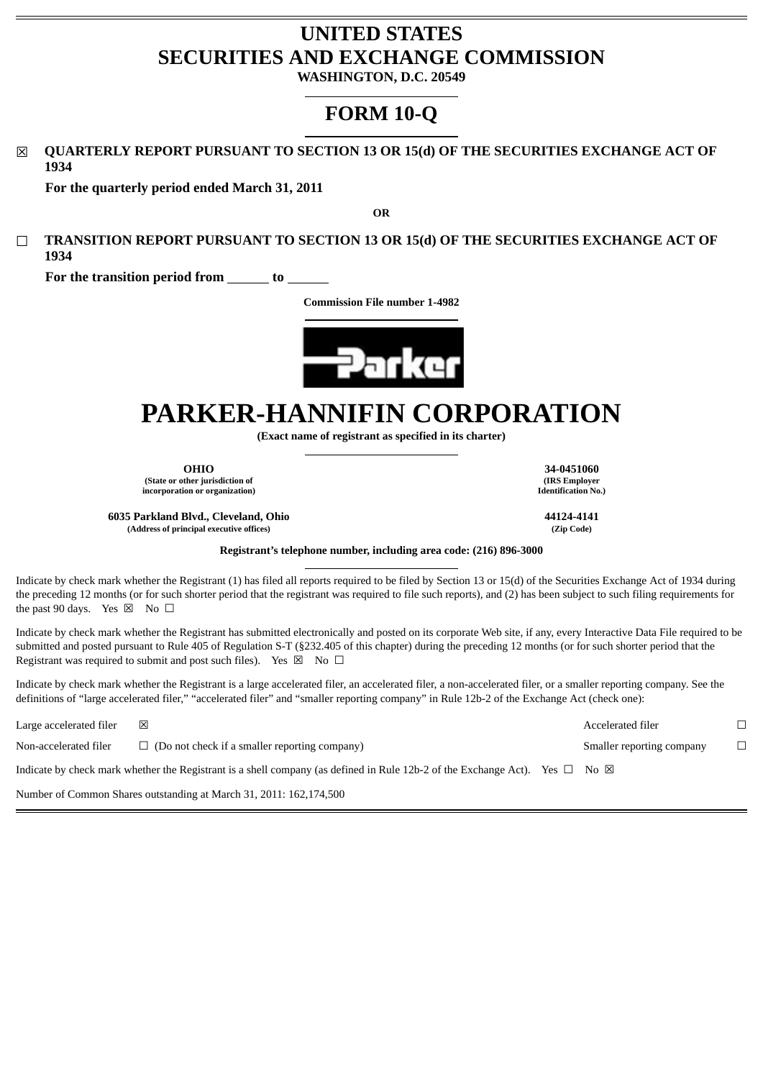# **UNITED STATES SECURITIES AND EXCHANGE COMMISSION**

**WASHINGTON, D.C. 20549**

# **FORM 10-Q**

☒ **QUARTERLY REPORT PURSUANT TO SECTION 13 OR 15(d) OF THE SECURITIES EXCHANGE ACT OF 1934**

**For the quarterly period ended March 31, 2011**

**OR**

☐ **TRANSITION REPORT PURSUANT TO SECTION 13 OR 15(d) OF THE SECURITIES EXCHANGE ACT OF 1934**

**For the transition period from to** 

**Commission File number 1-4982**



# **PARKER-HANNIFIN CORPORATION**

**(Exact name of registrant as specified in its charter)**

**OHIO 34-0451060**

**(State or other jurisdiction of incorporation or organization)**

**(IRS Employer Identification No.)**

**6035 Parkland Blvd., Cleveland, Ohio 44124-4141 (Address of principal executive offices) (Zip Code)**

#### **Registrant's telephone number, including area code: (216) 896-3000**

Indicate by check mark whether the Registrant (1) has filed all reports required to be filed by Section 13 or 15(d) of the Securities Exchange Act of 1934 during the preceding 12 months (or for such shorter period that the registrant was required to file such reports), and (2) has been subject to such filing requirements for the past 90 days. Yes  $\boxtimes$  No  $\Box$ 

Indicate by check mark whether the Registrant has submitted electronically and posted on its corporate Web site, if any, every Interactive Data File required to be submitted and posted pursuant to Rule 405 of Regulation S-T (§232.405 of this chapter) during the preceding 12 months (or for such shorter period that the Registrant was required to submit and post such files). Yes  $\boxtimes$  No  $\Box$ 

Indicate by check mark whether the Registrant is a large accelerated filer, an accelerated filer, a non-accelerated filer, or a smaller reporting company. See the definitions of "large accelerated filer," "accelerated filer" and "smaller reporting company" in Rule 12b-2 of the Exchange Act (check one):

| Large accelerated filer | $\mathsf{\times}$                                                                                                                          | Accelerated filer         |  |
|-------------------------|--------------------------------------------------------------------------------------------------------------------------------------------|---------------------------|--|
| Non-accelerated filer   | $\Box$ (Do not check if a smaller reporting company)                                                                                       | Smaller reporting company |  |
|                         | Indicate by check mark whether the Registrant is a shell company (as defined in Rule 12b-2 of the Exchange Act). Yes $\Box$ No $\boxtimes$ |                           |  |
|                         |                                                                                                                                            |                           |  |

Number of Common Shares outstanding at March 31, 2011: 162,174,500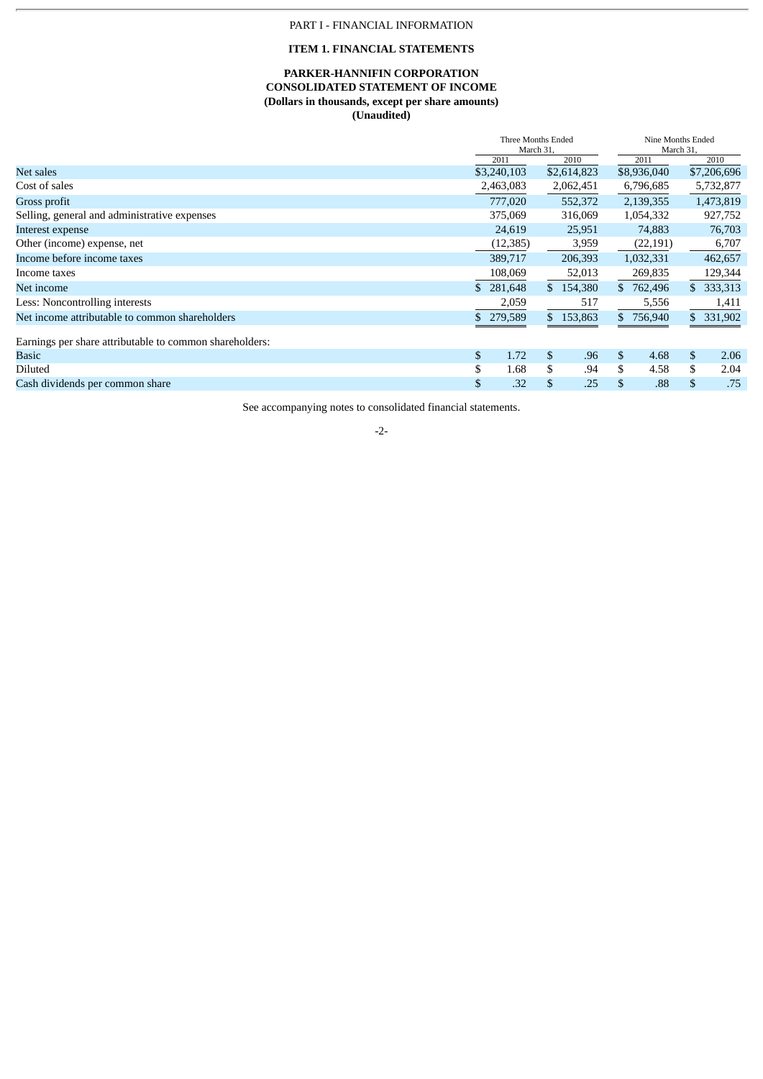# PART I - FINANCIAL INFORMATION

# **ITEM 1. FINANCIAL STATEMENTS**

# **PARKER-HANNIFIN CORPORATION CONSOLIDATED STATEMENT OF INCOME (Dollars in thousands, except per share amounts) (Unaudited)**

|                                                         |     | Three Months Ended<br>March 31. |    |             | Nine Months Ended<br>March 31, |             |                |             |
|---------------------------------------------------------|-----|---------------------------------|----|-------------|--------------------------------|-------------|----------------|-------------|
|                                                         |     | 2011                            |    | 2010        |                                | 2011        |                | 2010        |
| Net sales                                               |     | \$3,240,103                     |    | \$2,614,823 |                                | \$8,936,040 |                | \$7,206,696 |
| Cost of sales                                           |     | 2,463,083                       |    | 2,062,451   |                                | 6,796,685   |                | 5,732,877   |
| Gross profit                                            |     | 777,020                         |    | 552,372     |                                | 2,139,355   |                | 1,473,819   |
| Selling, general and administrative expenses            |     | 375,069                         |    | 316,069     |                                | 1,054,332   |                | 927,752     |
| Interest expense                                        |     | 24,619                          |    | 25,951      |                                | 74,883      |                | 76,703      |
| Other (income) expense, net                             |     | (12, 385)                       |    | 3,959       |                                | (22, 191)   |                | 6,707       |
| Income before income taxes                              |     | 389,717                         |    | 206,393     |                                | 1,032,331   |                | 462,657     |
| Income taxes                                            |     | 108,069                         |    | 52,013      |                                | 269,835     |                | 129,344     |
| Net income                                              | \$. | 281,648                         |    | \$154,380   |                                | \$762,496   | \$             | 333,313     |
| Less: Noncontrolling interests                          |     | 2,059                           |    | 517         |                                | 5,556       |                | 1,411       |
| Net income attributable to common shareholders          |     | 279,589                         |    | \$153,863   |                                | \$756,940   |                | \$ 331,902  |
| Earnings per share attributable to common shareholders: |     |                                 |    |             |                                |             |                |             |
| Basic                                                   | \$  | 1.72                            | \$ | .96         | \$                             | 4.68        | $\mathfrak{S}$ | 2.06        |
| Diluted                                                 | \$  | 1.68                            |    | .94         | \$                             | 4.58        | \$             | 2.04        |
| Cash dividends per common share                         | \$  | .32                             |    | .25         | \$                             | .88         | \$             | .75         |

See accompanying notes to consolidated financial statements.

# -2-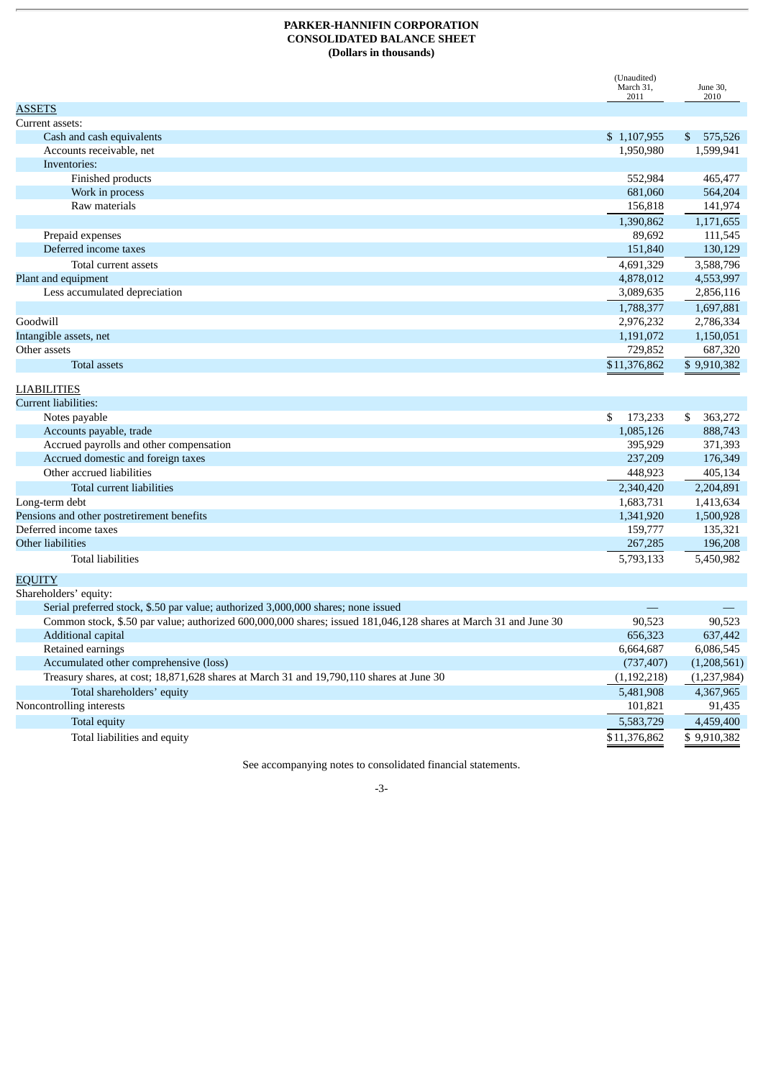# **PARKER-HANNIFIN CORPORATION CONSOLIDATED BALANCE SHEET (Dollars in thousands)**

|                                                                                                                 | (Unaudited)<br>March 31,<br>2011 | June 30,<br>2010 |
|-----------------------------------------------------------------------------------------------------------------|----------------------------------|------------------|
| <b>ASSETS</b>                                                                                                   |                                  |                  |
| Current assets:                                                                                                 |                                  |                  |
| Cash and cash equivalents                                                                                       | \$1,107,955                      | \$575,526        |
| Accounts receivable, net                                                                                        | 1,950,980                        | 1,599,941        |
| Inventories:                                                                                                    |                                  |                  |
| Finished products                                                                                               | 552,984                          | 465,477          |
| Work in process                                                                                                 | 681,060                          | 564,204          |
| Raw materials                                                                                                   | 156,818                          | 141,974          |
|                                                                                                                 | 1,390,862                        | 1,171,655        |
| Prepaid expenses                                                                                                | 89,692                           | 111,545          |
| Deferred income taxes                                                                                           | 151,840                          | 130,129          |
| Total current assets                                                                                            | 4,691,329                        | 3,588,796        |
| Plant and equipment                                                                                             | 4,878,012                        | 4,553,997        |
| Less accumulated depreciation                                                                                   | 3,089,635                        | 2,856,116        |
|                                                                                                                 | 1,788,377                        | 1,697,881        |
| Goodwill                                                                                                        | 2,976,232                        | 2,786,334        |
| Intangible assets, net                                                                                          | 1,191,072                        | 1,150,051        |
| Other assets                                                                                                    | 729,852                          | 687,320          |
| Total assets                                                                                                    | \$11,376,862                     | \$9,910,382      |
| <b>LIABILITIES</b>                                                                                              |                                  |                  |
| Current liabilities:                                                                                            |                                  |                  |
| Notes payable                                                                                                   | 173,233<br>S.                    | 363,272<br>\$    |
| Accounts payable, trade                                                                                         | 1,085,126                        | 888,743          |
| Accrued payrolls and other compensation                                                                         | 395,929                          | 371,393          |
| Accrued domestic and foreign taxes                                                                              | 237,209                          | 176,349          |
| Other accrued liabilities                                                                                       | 448,923                          | 405,134          |
| Total current liabilities                                                                                       | 2,340,420                        | 2,204,891        |
| Long-term debt                                                                                                  | 1,683,731                        | 1,413,634        |
| Pensions and other postretirement benefits                                                                      | 1,341,920                        | 1,500,928        |
| Deferred income taxes                                                                                           | 159,777                          | 135,321          |
| Other liabilities                                                                                               | 267,285                          | 196,208          |
| <b>Total liabilities</b>                                                                                        | 5,793,133                        | 5,450,982        |
| <b>EQUITY</b>                                                                                                   |                                  |                  |
| Shareholders' equity:                                                                                           |                                  |                  |
| Serial preferred stock, \$.50 par value; authorized 3,000,000 shares; none issued                               |                                  |                  |
| Common stock, \$.50 par value; authorized 600,000,000 shares; issued 181,046,128 shares at March 31 and June 30 | 90,523                           | 90,523           |
| Additional capital                                                                                              | 656,323                          | 637,442          |
| Retained earnings                                                                                               | 6,664,687                        | 6,086,545        |
| Accumulated other comprehensive (loss)                                                                          | (737, 407)                       | (1,208,561)      |
| Treasury shares, at cost; 18,871,628 shares at March 31 and 19,790,110 shares at June 30                        | (1, 192, 218)                    | (1,237,984)      |
| Total shareholders' equity                                                                                      | 5,481,908                        | 4,367,965        |
| Noncontrolling interests                                                                                        | 101,821                          | 91,435           |
| Total equity                                                                                                    | 5,583,729                        | 4,459,400        |
| Total liabilities and equity                                                                                    | \$11,376,862                     | \$9,910,382      |

See accompanying notes to consolidated financial statements.

## -3-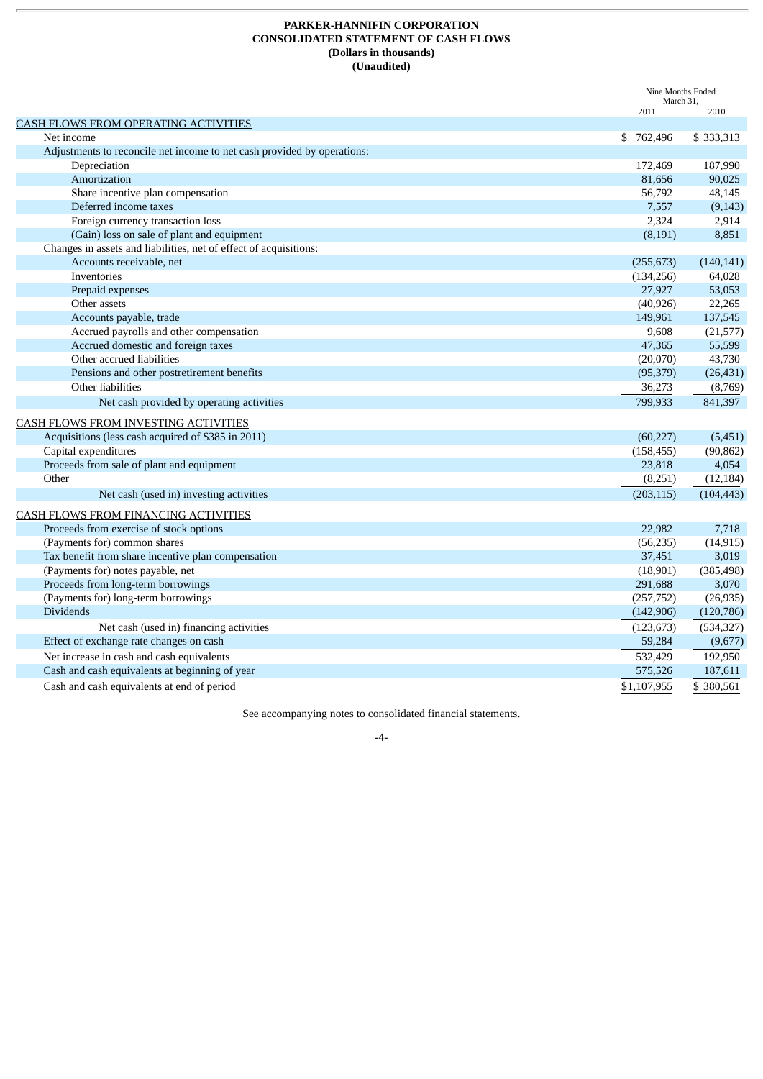# **PARKER-HANNIFIN CORPORATION CONSOLIDATED STATEMENT OF CASH FLOWS (Dollars in thousands) (Unaudited)**

|                                                                         | Nine Months Ended<br>March 31, |            |
|-------------------------------------------------------------------------|--------------------------------|------------|
|                                                                         | 2011                           | 2010       |
| CASH FLOWS FROM OPERATING ACTIVITIES                                    |                                |            |
| Net income                                                              | \$762,496                      | \$333,313  |
| Adjustments to reconcile net income to net cash provided by operations: |                                |            |
| Depreciation                                                            | 172,469                        | 187,990    |
| Amortization                                                            | 81,656                         | 90,025     |
| Share incentive plan compensation                                       | 56,792                         | 48,145     |
| Deferred income taxes                                                   | 7,557                          | (9, 143)   |
| Foreign currency transaction loss                                       | 2,324                          | 2,914      |
| (Gain) loss on sale of plant and equipment                              | (8, 191)                       | 8,851      |
| Changes in assets and liabilities, net of effect of acquisitions:       |                                |            |
| Accounts receivable, net                                                | (255, 673)                     | (140, 141) |
| Inventories                                                             | (134, 256)                     | 64,028     |
| Prepaid expenses                                                        | 27,927                         | 53,053     |
| Other assets                                                            | (40, 926)                      | 22,265     |
| Accounts payable, trade                                                 | 149,961                        | 137,545    |
| Accrued payrolls and other compensation                                 | 9,608                          | (21,577)   |
| Accrued domestic and foreign taxes                                      | 47,365                         | 55,599     |
| Other accrued liabilities                                               | (20,070)                       | 43,730     |
| Pensions and other postretirement benefits                              | (95, 379)                      | (26, 431)  |
| Other liabilities                                                       | 36,273                         | (8,769)    |
| Net cash provided by operating activities                               | 799,933                        | 841,397    |
| CASH FLOWS FROM INVESTING ACTIVITIES                                    |                                |            |
| Acquisitions (less cash acquired of \$385 in 2011)                      | (60, 227)                      | (5,451)    |
| Capital expenditures                                                    | (158, 455)                     | (90, 862)  |
| Proceeds from sale of plant and equipment                               | 23,818                         | 4,054      |
| Other                                                                   | (8,251)                        | (12, 184)  |
| Net cash (used in) investing activities                                 | (203, 115)                     | (104, 443) |
| CASH FLOWS FROM FINANCING ACTIVITIES                                    |                                |            |
| Proceeds from exercise of stock options                                 | 22,982                         | 7,718      |
| (Payments for) common shares                                            | (56, 235)                      | (14, 915)  |
| Tax benefit from share incentive plan compensation                      | 37,451                         | 3,019      |
| (Payments for) notes payable, net                                       | (18,901)                       | (385, 498) |
| Proceeds from long-term borrowings                                      | 291,688                        | 3,070      |
| (Payments for) long-term borrowings                                     | (257, 752)                     | (26, 935)  |
| <b>Dividends</b>                                                        | (142,906)                      | (120, 786) |
| Net cash (used in) financing activities                                 | (123, 673)                     | (534, 327) |
| Effect of exchange rate changes on cash                                 | 59,284                         | (9,677)    |
| Net increase in cash and cash equivalents                               | 532,429                        | 192,950    |
| Cash and cash equivalents at beginning of year                          | 575,526                        | 187,611    |
|                                                                         |                                |            |
| Cash and cash equivalents at end of period                              | \$1,107,955                    | \$380,561  |

See accompanying notes to consolidated financial statements.

-4-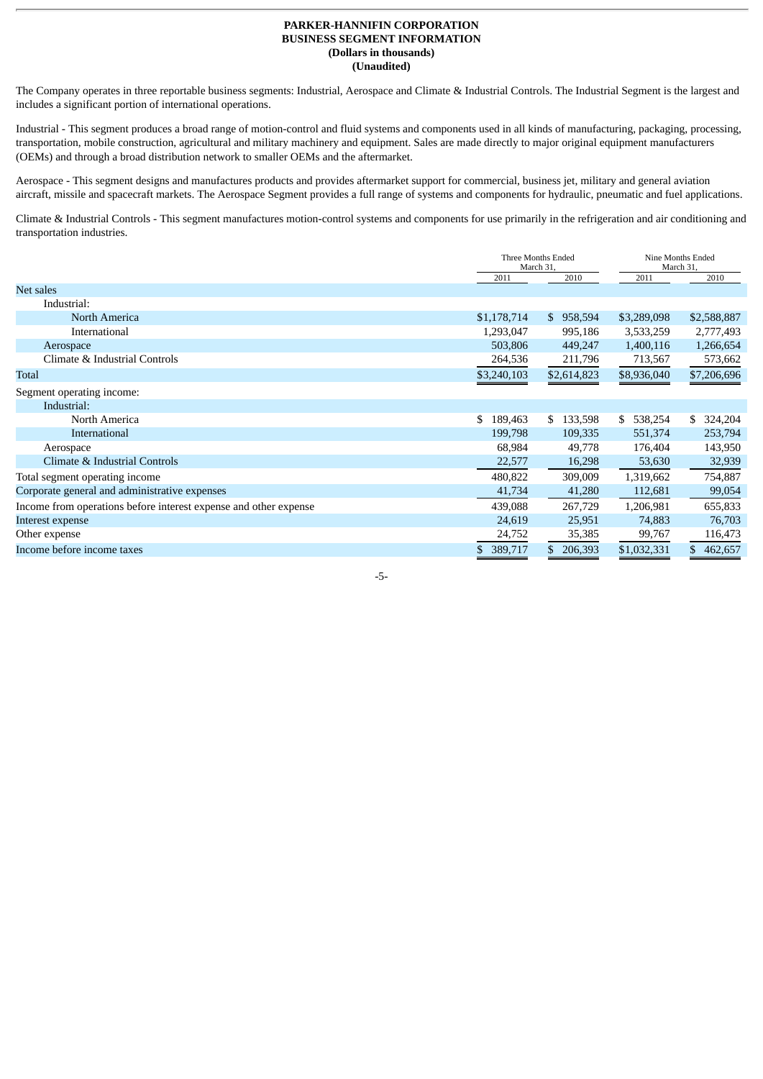## **PARKER-HANNIFIN CORPORATION BUSINESS SEGMENT INFORMATION (Dollars in thousands) (Unaudited)**

The Company operates in three reportable business segments: Industrial, Aerospace and Climate & Industrial Controls. The Industrial Segment is the largest and includes a significant portion of international operations.

Industrial - This segment produces a broad range of motion-control and fluid systems and components used in all kinds of manufacturing, packaging, processing, transportation, mobile construction, agricultural and military machinery and equipment. Sales are made directly to major original equipment manufacturers (OEMs) and through a broad distribution network to smaller OEMs and the aftermarket.

Aerospace - This segment designs and manufactures products and provides aftermarket support for commercial, business jet, military and general aviation aircraft, missile and spacecraft markets. The Aerospace Segment provides a full range of systems and components for hydraulic, pneumatic and fuel applications.

Climate & Industrial Controls - This segment manufactures motion-control systems and components for use primarily in the refrigeration and air conditioning and transportation industries.

|                                                                  |               | Three Months Ended<br>March 31, |               | Nine Months Ended<br>March 31, |
|------------------------------------------------------------------|---------------|---------------------------------|---------------|--------------------------------|
|                                                                  | 2011          | 2010                            | 2011          | 2010                           |
| Net sales                                                        |               |                                 |               |                                |
| Industrial:                                                      |               |                                 |               |                                |
| North America                                                    | \$1,178,714   | \$958,594                       | \$3,289,098   | \$2,588,887                    |
| International                                                    | 1,293,047     | 995,186                         | 3,533,259     | 2,777,493                      |
| Aerospace                                                        | 503,806       | 449,247                         | 1,400,116     | 1,266,654                      |
| Climate & Industrial Controls                                    | 264,536       | 211,796                         | 713,567       | 573,662                        |
| Total                                                            | \$3,240,103   | \$2,614,823                     | \$8,936,040   | \$7,206,696                    |
| Segment operating income:                                        |               |                                 |               |                                |
| Industrial:                                                      |               |                                 |               |                                |
| North America                                                    | \$<br>189,463 | 133,598<br>$\mathbf{s}$         | 538,254<br>\$ | \$<br>324,204                  |
| International                                                    | 199,798       | 109,335                         | 551,374       | 253,794                        |
| Aerospace                                                        | 68,984        | 49,778                          | 176,404       | 143,950                        |
| Climate & Industrial Controls                                    | 22,577        | 16,298                          | 53,630        | 32,939                         |
| Total segment operating income                                   | 480,822       | 309,009                         | 1,319,662     | 754,887                        |
| Corporate general and administrative expenses                    | 41,734        | 41,280                          | 112,681       | 99,054                         |
| Income from operations before interest expense and other expense | 439,088       | 267,729                         | 1,206,981     | 655,833                        |
| Interest expense                                                 | 24,619        | 25,951                          | 74,883        | 76,703                         |
| Other expense                                                    | 24,752        | 35,385                          | 99,767        | 116,473                        |
| Income before income taxes                                       | 389,717<br>\$ | 206,393                         | \$1,032,331   | 462,657                        |

-5-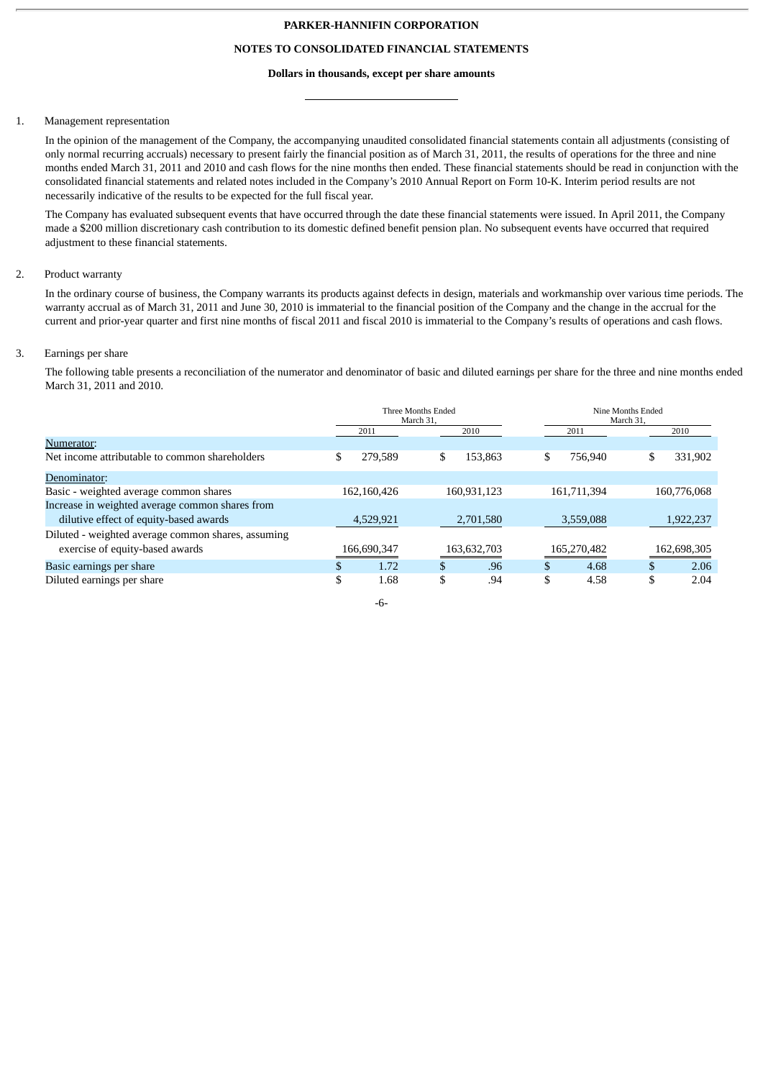#### **PARKER-HANNIFIN CORPORATION**

# **NOTES TO CONSOLIDATED FINANCIAL STATEMENTS**

#### **Dollars in thousands, except per share amounts**

#### 1. Management representation

In the opinion of the management of the Company, the accompanying unaudited consolidated financial statements contain all adjustments (consisting of only normal recurring accruals) necessary to present fairly the financial position as of March 31, 2011, the results of operations for the three and nine months ended March 31, 2011 and 2010 and cash flows for the nine months then ended. These financial statements should be read in conjunction with the consolidated financial statements and related notes included in the Company's 2010 Annual Report on Form 10-K. Interim period results are not necessarily indicative of the results to be expected for the full fiscal year.

The Company has evaluated subsequent events that have occurred through the date these financial statements were issued. In April 2011, the Company made a \$200 million discretionary cash contribution to its domestic defined benefit pension plan. No subsequent events have occurred that required adjustment to these financial statements.

## 2. Product warranty

In the ordinary course of business, the Company warrants its products against defects in design, materials and workmanship over various time periods. The warranty accrual as of March 31, 2011 and June 30, 2010 is immaterial to the financial position of the Company and the change in the accrual for the current and prior-year quarter and first nine months of fiscal 2011 and fiscal 2010 is immaterial to the Company's results of operations and cash flows.

#### 3. Earnings per share

The following table presents a reconciliation of the numerator and denominator of basic and diluted earnings per share for the three and nine months ended March 31, 2011 and 2010.

|                                                    | Three Months Ended<br>March 31. |             |    |             |               | Nine Months Ended<br>March 31. |    |             |  |
|----------------------------------------------------|---------------------------------|-------------|----|-------------|---------------|--------------------------------|----|-------------|--|
|                                                    |                                 | 2011        |    | 2010        |               | 2011                           |    | 2010        |  |
| Numerator:                                         |                                 |             |    |             |               |                                |    |             |  |
| Net income attributable to common shareholders     | \$                              | 279.589     | \$ | 153.863     | \$            | 756.940                        | \$ | 331,902     |  |
| Denominator:                                       |                                 |             |    |             |               |                                |    |             |  |
| Basic - weighted average common shares             |                                 | 162,160,426 |    | 160,931,123 |               | 161,711,394                    |    | 160,776,068 |  |
| Increase in weighted average common shares from    |                                 |             |    |             |               |                                |    |             |  |
| dilutive effect of equity-based awards             |                                 | 4,529,921   |    | 2,701,580   |               | 3,559,088                      |    | 1,922,237   |  |
| Diluted - weighted average common shares, assuming |                                 |             |    |             |               |                                |    |             |  |
| exercise of equity-based awards                    |                                 | 166,690,347 |    | 163,632,703 |               | 165,270,482                    |    | 162,698,305 |  |
| Basic earnings per share                           | \$                              | 1.72        | \$ | .96         | <b>ታ</b><br>ъ | 4.68                           | .Ъ | 2.06        |  |
| Diluted earnings per share                         | \$                              | 1.68        | \$ | .94         | \$            | 4.58                           | \$ | 2.04        |  |

-6-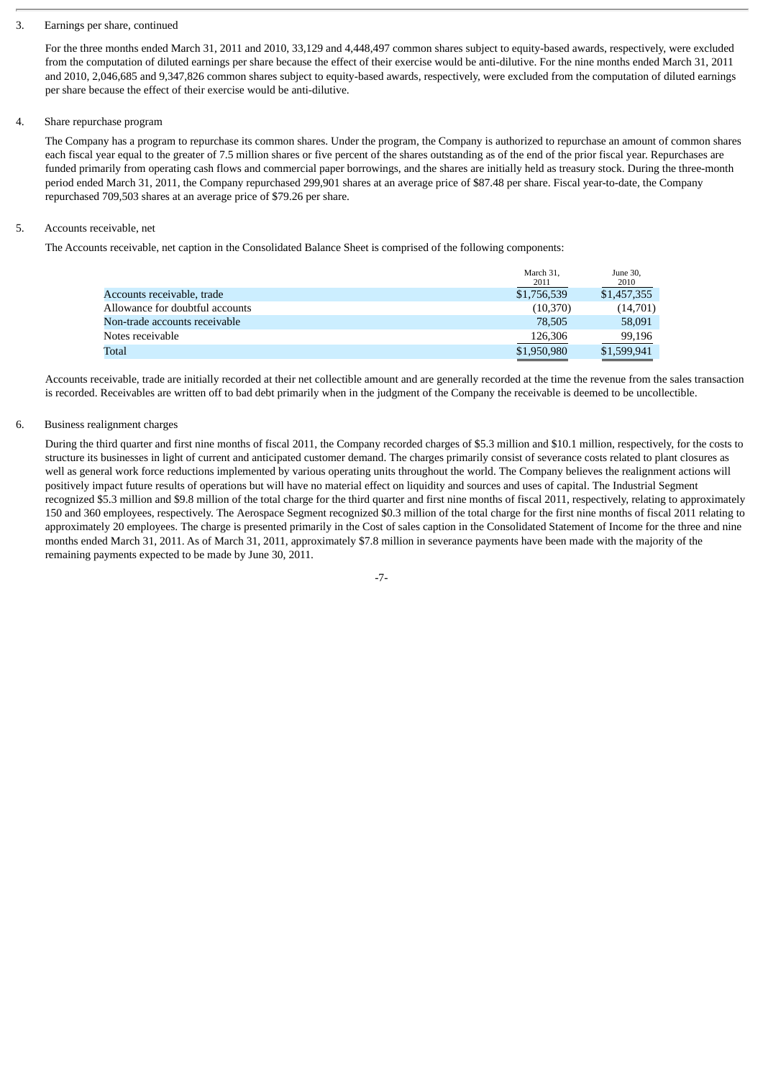#### 3. Earnings per share, continued

For the three months ended March 31, 2011 and 2010, 33,129 and 4,448,497 common shares subject to equity-based awards, respectively, were excluded from the computation of diluted earnings per share because the effect of their exercise would be anti-dilutive. For the nine months ended March 31, 2011 and 2010, 2,046,685 and 9,347,826 common shares subject to equity-based awards, respectively, were excluded from the computation of diluted earnings per share because the effect of their exercise would be anti-dilutive.

## 4. Share repurchase program

The Company has a program to repurchase its common shares. Under the program, the Company is authorized to repurchase an amount of common shares each fiscal year equal to the greater of 7.5 million shares or five percent of the shares outstanding as of the end of the prior fiscal year. Repurchases are funded primarily from operating cash flows and commercial paper borrowings, and the shares are initially held as treasury stock. During the three-month period ended March 31, 2011, the Company repurchased 299,901 shares at an average price of \$87.48 per share. Fiscal year-to-date, the Company repurchased 709,503 shares at an average price of \$79.26 per share.

## 5. Accounts receivable, net

The Accounts receivable, net caption in the Consolidated Balance Sheet is comprised of the following components:

|                                 | March 31.<br>2011 | June 30,<br>2010 |
|---------------------------------|-------------------|------------------|
| Accounts receivable, trade      | \$1,756,539       | \$1,457,355      |
| Allowance for doubtful accounts | (10,370)          | (14,701)         |
| Non-trade accounts receivable   | 78.505            | 58,091           |
| Notes receivable                | 126,306           | 99,196           |
| Total                           | \$1,950,980       | \$1,599,941      |
|                                 |                   |                  |

Accounts receivable, trade are initially recorded at their net collectible amount and are generally recorded at the time the revenue from the sales transaction is recorded. Receivables are written off to bad debt primarily when in the judgment of the Company the receivable is deemed to be uncollectible.

## 6. Business realignment charges

During the third quarter and first nine months of fiscal 2011, the Company recorded charges of \$5.3 million and \$10.1 million, respectively, for the costs to structure its businesses in light of current and anticipated customer demand. The charges primarily consist of severance costs related to plant closures as well as general work force reductions implemented by various operating units throughout the world. The Company believes the realignment actions will positively impact future results of operations but will have no material effect on liquidity and sources and uses of capital. The Industrial Segment recognized \$5.3 million and \$9.8 million of the total charge for the third quarter and first nine months of fiscal 2011, respectively, relating to approximately 150 and 360 employees, respectively. The Aerospace Segment recognized \$0.3 million of the total charge for the first nine months of fiscal 2011 relating to approximately 20 employees. The charge is presented primarily in the Cost of sales caption in the Consolidated Statement of Income for the three and nine months ended March 31, 2011. As of March 31, 2011, approximately \$7.8 million in severance payments have been made with the majority of the remaining payments expected to be made by June 30, 2011.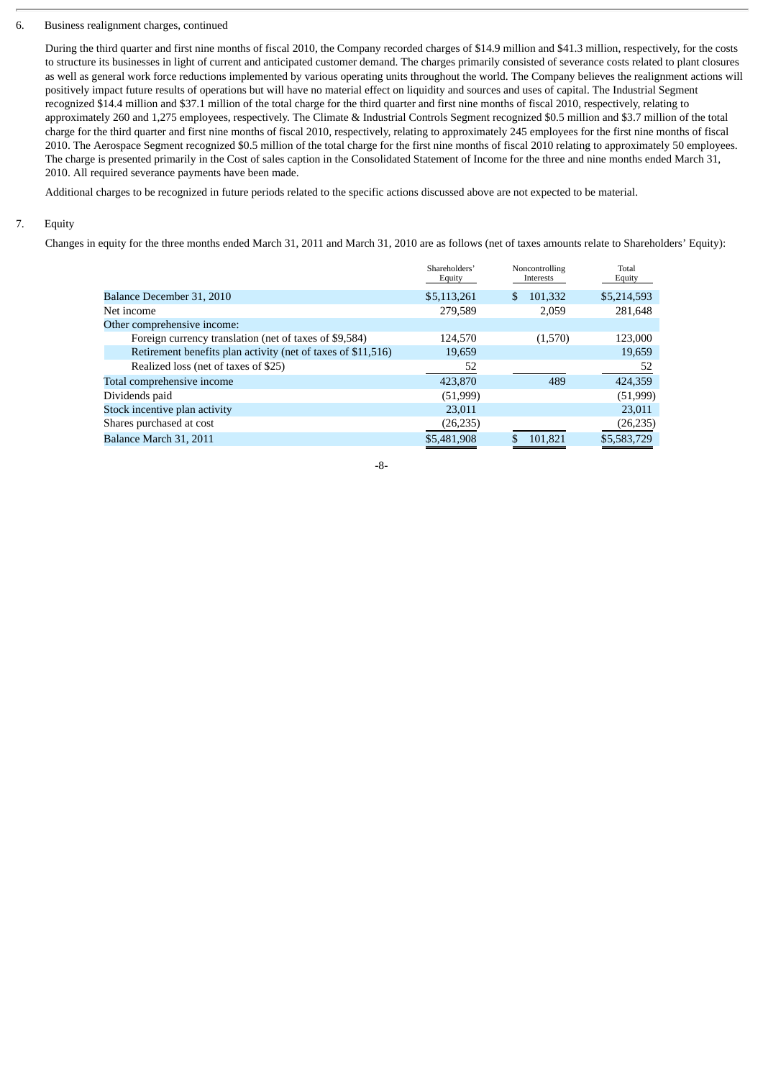## 6. Business realignment charges, continued

During the third quarter and first nine months of fiscal 2010, the Company recorded charges of \$14.9 million and \$41.3 million, respectively, for the costs to structure its businesses in light of current and anticipated customer demand. The charges primarily consisted of severance costs related to plant closures as well as general work force reductions implemented by various operating units throughout the world. The Company believes the realignment actions will positively impact future results of operations but will have no material effect on liquidity and sources and uses of capital. The Industrial Segment recognized \$14.4 million and \$37.1 million of the total charge for the third quarter and first nine months of fiscal 2010, respectively, relating to approximately 260 and 1,275 employees, respectively. The Climate & Industrial Controls Segment recognized \$0.5 million and \$3.7 million of the total charge for the third quarter and first nine months of fiscal 2010, respectively, relating to approximately 245 employees for the first nine months of fiscal 2010. The Aerospace Segment recognized \$0.5 million of the total charge for the first nine months of fiscal 2010 relating to approximately 50 employees. The charge is presented primarily in the Cost of sales caption in the Consolidated Statement of Income for the three and nine months ended March 31, 2010. All required severance payments have been made.

Additional charges to be recognized in future periods related to the specific actions discussed above are not expected to be material.

# 7. Equity

Changes in equity for the three months ended March 31, 2011 and March 31, 2010 are as follows (net of taxes amounts relate to Shareholders' Equity):

|                                                              | Shareholders'<br>Equity | Noncontrolling<br>Interests | Total<br>Equity |
|--------------------------------------------------------------|-------------------------|-----------------------------|-----------------|
| Balance December 31, 2010                                    | \$5,113,261             | \$<br>101,332               | \$5,214,593     |
| Net income                                                   | 279,589                 | 2,059                       | 281.648         |
| Other comprehensive income:                                  |                         |                             |                 |
| Foreign currency translation (net of taxes of \$9,584)       | 124,570                 | (1,570)                     | 123,000         |
| Retirement benefits plan activity (net of taxes of \$11,516) | 19,659                  |                             | 19,659          |
| Realized loss (net of taxes of \$25)                         | 52                      |                             | 52              |
| Total comprehensive income                                   | 423,870                 | 489                         | 424,359         |
| Dividends paid                                               | (51, 999)               |                             | (51,999)        |
| Stock incentive plan activity                                | 23,011                  |                             | 23,011          |
| Shares purchased at cost                                     | (26, 235)               |                             | (26, 235)       |
| Balance March 31, 2011                                       | \$5,481,908             | 101.821                     | \$5,583,729     |

-8-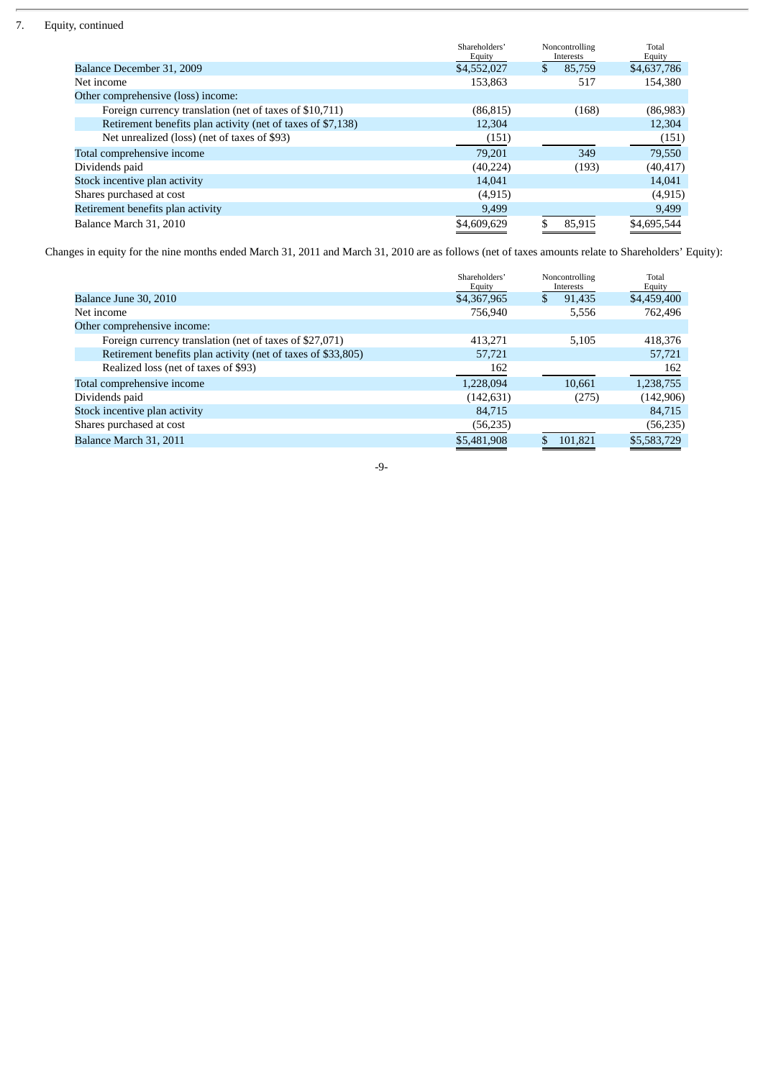# 7. Equity, continued

|                                                             | Shareholders'<br>Equity | Noncontrolling<br>Interests | Total<br>Equity |
|-------------------------------------------------------------|-------------------------|-----------------------------|-----------------|
| Balance December 31, 2009                                   | \$4,552,027             | 85,759                      | \$4,637,786     |
| Net income                                                  | 153,863                 | 517                         | 154,380         |
| Other comprehensive (loss) income:                          |                         |                             |                 |
| Foreign currency translation (net of taxes of \$10,711)     | (86, 815)               | (168)                       | (86,983)        |
| Retirement benefits plan activity (net of taxes of \$7,138) | 12,304                  |                             | 12,304          |
| Net unrealized (loss) (net of taxes of \$93)                | (151)                   |                             | (151)           |
| Total comprehensive income                                  | 79.201                  | 349                         | 79,550          |
| Dividends paid                                              | (40, 224)               | (193)                       | (40, 417)       |
| Stock incentive plan activity                               | 14.041                  |                             | 14,041          |
| Shares purchased at cost                                    | (4, 915)                |                             | (4, 915)        |
| Retirement benefits plan activity                           | 9,499                   |                             | 9,499           |
| Balance March 31, 2010                                      | \$4,609,629             | 85.915                      | \$4,695,544     |

Changes in equity for the nine months ended March 31, 2011 and March 31, 2010 are as follows (net of taxes amounts relate to Shareholders' Equity):

|                                                              | Shareholders'<br>Equity | Noncontrolling<br>Interests | Total<br>Equity |
|--------------------------------------------------------------|-------------------------|-----------------------------|-----------------|
| Balance June 30, 2010                                        | \$4,367,965             | 91,435<br>S                 | \$4,459,400     |
| Net income                                                   | 756,940                 | 5,556                       | 762,496         |
| Other comprehensive income:                                  |                         |                             |                 |
| Foreign currency translation (net of taxes of \$27,071)      | 413,271                 | 5,105                       | 418,376         |
| Retirement benefits plan activity (net of taxes of \$33,805) | 57,721                  |                             | 57,721          |
| Realized loss (net of taxes of \$93)                         | 162                     |                             | 162             |
| Total comprehensive income                                   | 1,228,094               | 10,661                      | 1,238,755       |
| Dividends paid                                               | (142, 631)              | (275)                       | (142,906)       |
| Stock incentive plan activity                                | 84,715                  |                             | 84.715          |
| Shares purchased at cost                                     | (56, 235)               |                             | (56, 235)       |
| Balance March 31, 2011                                       | \$5,481,908             | 101,821                     | \$5,583,729     |

-9-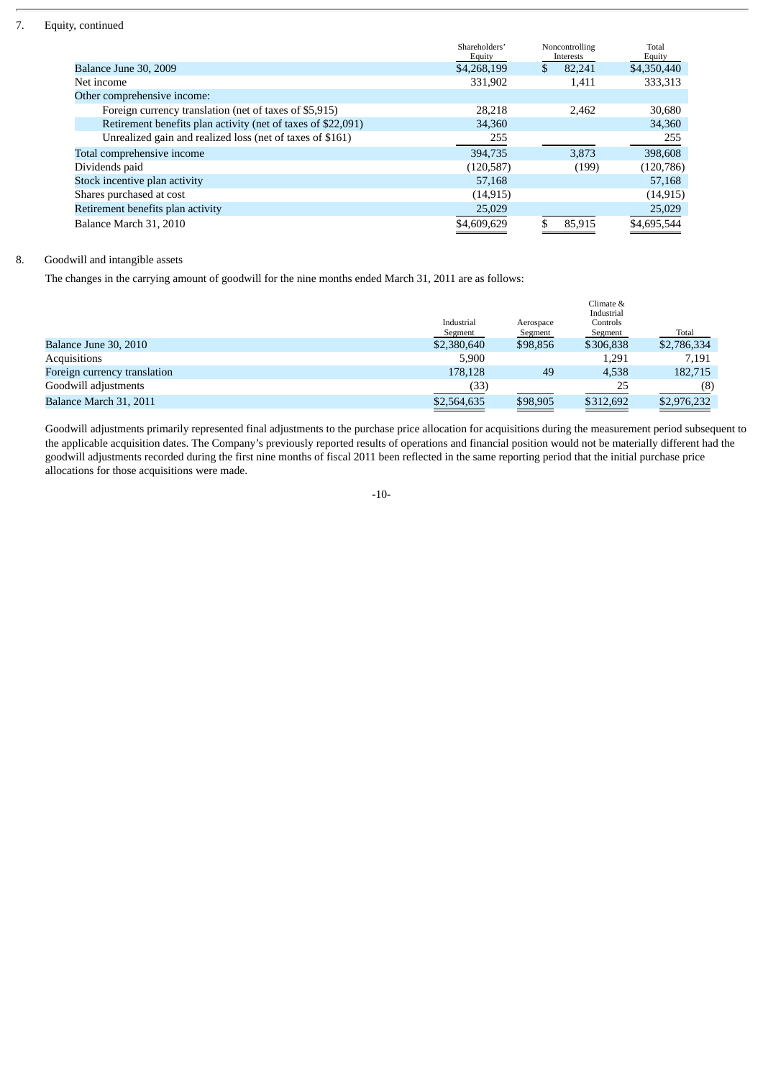# 7. Equity, continued

|                                                              | Shareholders'<br>Equity | Noncontrolling<br>Interests | Total<br>Equity |
|--------------------------------------------------------------|-------------------------|-----------------------------|-----------------|
| Balance June 30, 2009                                        | \$4,268,199             | \$<br>82,241                | \$4,350,440     |
| Net income                                                   | 331,902                 | 1,411                       | 333,313         |
| Other comprehensive income:                                  |                         |                             |                 |
| Foreign currency translation (net of taxes of \$5,915)       | 28.218                  | 2,462                       | 30,680          |
| Retirement benefits plan activity (net of taxes of \$22,091) | 34,360                  |                             | 34,360          |
| Unrealized gain and realized loss (net of taxes of \$161)    | 255                     |                             | 255             |
| Total comprehensive income                                   | 394,735                 | 3.873                       | 398,608         |
| Dividends paid                                               | (120, 587)              | (199)                       | (120, 786)      |
| Stock incentive plan activity                                | 57,168                  |                             | 57,168          |
| Shares purchased at cost                                     | (14, 915)               |                             | (14, 915)       |
| Retirement benefits plan activity                            | 25,029                  |                             | 25,029          |
| Balance March 31, 2010                                       | \$4,609,629             | 85,915                      | \$4,695,544     |

# 8. Goodwill and intangible assets

The changes in the carrying amount of goodwill for the nine months ended March 31, 2011 are as follows:

|                              |             |           | Climate &  |             |
|------------------------------|-------------|-----------|------------|-------------|
|                              |             |           | Industrial |             |
|                              | Industrial  | Aerospace | Controls   |             |
|                              | Segment     | Segment   | Segment    | Total       |
| Balance June 30, 2010        | \$2,380,640 | \$98,856  | \$306,838  | \$2,786,334 |
| Acquisitions                 | 5.900       |           | 1,291      | 7.191       |
| Foreign currency translation | 178,128     | 49        | 4,538      | 182,715     |
| Goodwill adjustments         | (33)        |           | 25         | (8)         |
| Balance March 31, 2011       | \$2,564,635 | \$98,905  | \$312,692  | \$2,976,232 |
|                              |             |           |            |             |

Goodwill adjustments primarily represented final adjustments to the purchase price allocation for acquisitions during the measurement period subsequent to the applicable acquisition dates. The Company's previously reported results of operations and financial position would not be materially different had the goodwill adjustments recorded during the first nine months of fiscal 2011 been reflected in the same reporting period that the initial purchase price allocations for those acquisitions were made.

-10-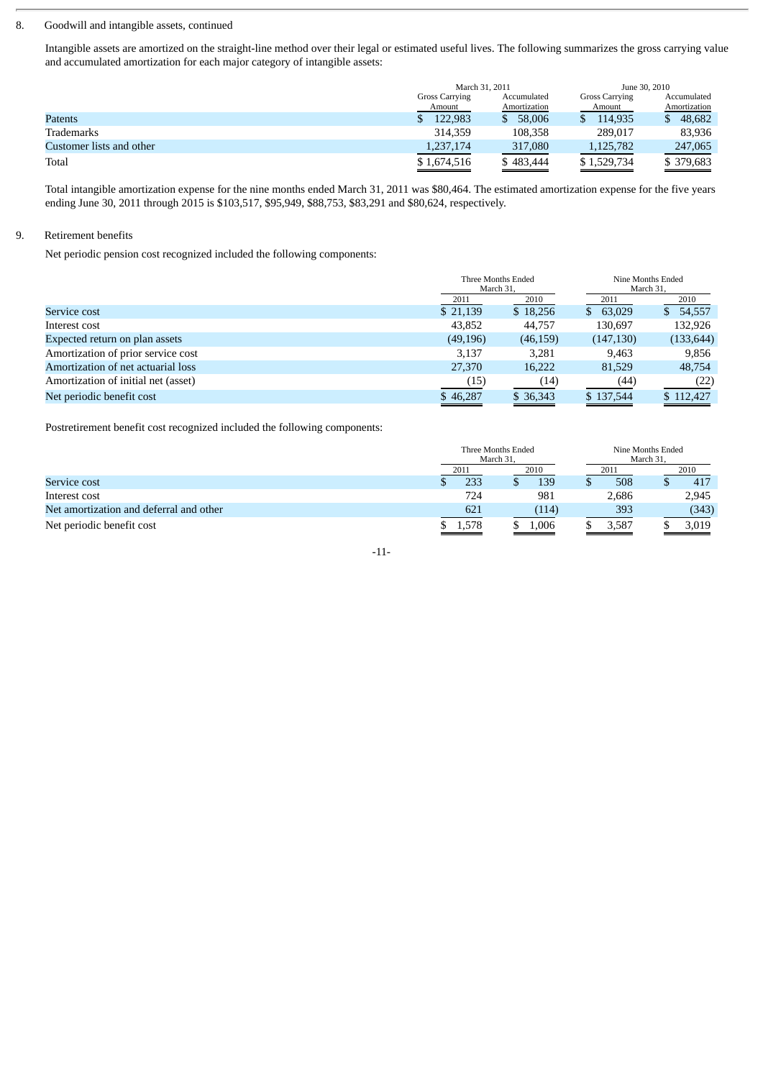#### 8. Goodwill and intangible assets, continued

Intangible assets are amortized on the straight-line method over their legal or estimated useful lives. The following summarizes the gross carrying value and accumulated amortization for each major category of intangible assets:

|                          | March 31, 2011                       |              | June 30, 2010         |              |  |
|--------------------------|--------------------------------------|--------------|-----------------------|--------------|--|
|                          | <b>Gross Carrying</b><br>Accumulated |              | <b>Gross Carrying</b> | Accumulated  |  |
|                          | Amount                               | Amortization | Amount                | Amortization |  |
| Patents                  | 122.983                              | 58,006<br>S. | 114.935               | 48,682<br>S. |  |
| Trademarks               | 314,359                              | 108,358      | 289.017               | 83,936       |  |
| Customer lists and other | 1,237,174                            | 317,080      | 1,125,782             | 247,065      |  |
| Total                    | \$1,674,516                          | \$483,444    | \$1,529,734           | \$379,683    |  |

Total intangible amortization expense for the nine months ended March 31, 2011 was \$80,464. The estimated amortization expense for the five years ending June 30, 2011 through 2015 is \$103,517, \$95,949, \$88,753, \$83,291 and \$80,624, respectively.

## 9. Retirement benefits

Net periodic pension cost recognized included the following components:

|                                     |           | Three Months Ended<br>March 31. |               | Nine Months Ended<br>March 31. |
|-------------------------------------|-----------|---------------------------------|---------------|--------------------------------|
|                                     | 2011      | 2010                            | 2011          | 2010                           |
| Service cost                        | \$21,139  | \$18,256                        | 63,029<br>SS. | 54,557<br>S.                   |
| Interest cost                       | 43,852    | 44,757                          | 130,697       | 132,926                        |
| Expected return on plan assets      | (49, 196) | (46, 159)                       | (147, 130)    | (133, 644)                     |
| Amortization of prior service cost  | 3,137     | 3.281                           | 9,463         | 9,856                          |
| Amortization of net actuarial loss  | 27,370    | 16.222                          | 81,529        | 48,754                         |
| Amortization of initial net (asset) | (15)      | (14)                            | (44)          | (22)                           |
| Net periodic benefit cost           | \$46,287  | \$ 36,343                       | \$137,544     | \$112,427                      |

Postretirement benefit cost recognized included the following components:

|                                         |       | Three Months Ended<br>March 31. |       | Nine Months Ended<br>March 31. |  |       |
|-----------------------------------------|-------|---------------------------------|-------|--------------------------------|--|-------|
|                                         | 2011  |                                 | 2010  | 2011                           |  | 2010  |
| Service cost                            |       | 233                             | 139   | 508                            |  | 417   |
| Interest cost                           |       | 724                             | 981   | 2,686                          |  | 2,945 |
| Net amortization and deferral and other |       | 621                             | (114) | 393                            |  | (343) |
| Net periodic benefit cost               | 1,578 |                                 | 0.006 | 3,587                          |  | 3,019 |

-11-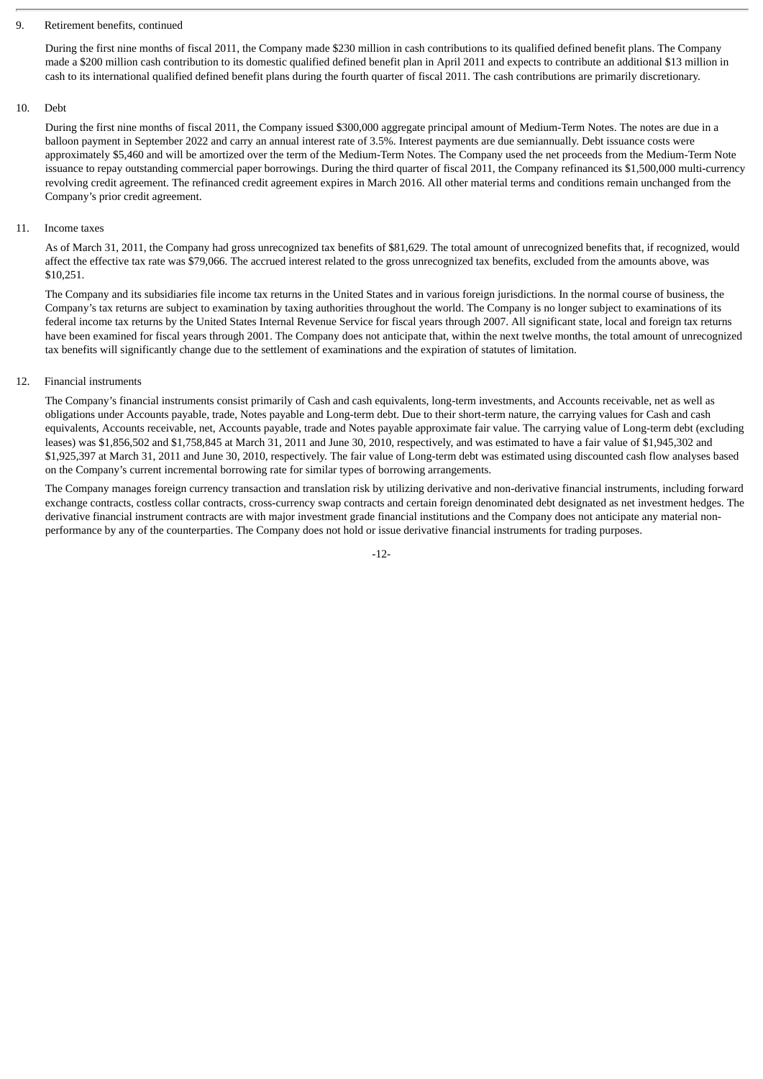#### 9. Retirement benefits, continued

During the first nine months of fiscal 2011, the Company made \$230 million in cash contributions to its qualified defined benefit plans. The Company made a \$200 million cash contribution to its domestic qualified defined benefit plan in April 2011 and expects to contribute an additional \$13 million in cash to its international qualified defined benefit plans during the fourth quarter of fiscal 2011. The cash contributions are primarily discretionary.

#### 10. Debt

During the first nine months of fiscal 2011, the Company issued \$300,000 aggregate principal amount of Medium-Term Notes. The notes are due in a balloon payment in September 2022 and carry an annual interest rate of 3.5%. Interest payments are due semiannually. Debt issuance costs were approximately \$5,460 and will be amortized over the term of the Medium-Term Notes. The Company used the net proceeds from the Medium-Term Note issuance to repay outstanding commercial paper borrowings. During the third quarter of fiscal 2011, the Company refinanced its \$1,500,000 multi-currency revolving credit agreement. The refinanced credit agreement expires in March 2016. All other material terms and conditions remain unchanged from the Company's prior credit agreement.

#### 11. Income taxes

As of March 31, 2011, the Company had gross unrecognized tax benefits of \$81,629. The total amount of unrecognized benefits that, if recognized, would affect the effective tax rate was \$79,066. The accrued interest related to the gross unrecognized tax benefits, excluded from the amounts above, was \$10,251.

The Company and its subsidiaries file income tax returns in the United States and in various foreign jurisdictions. In the normal course of business, the Company's tax returns are subject to examination by taxing authorities throughout the world. The Company is no longer subject to examinations of its federal income tax returns by the United States Internal Revenue Service for fiscal years through 2007. All significant state, local and foreign tax returns have been examined for fiscal years through 2001. The Company does not anticipate that, within the next twelve months, the total amount of unrecognized tax benefits will significantly change due to the settlement of examinations and the expiration of statutes of limitation.

#### 12. Financial instruments

The Company's financial instruments consist primarily of Cash and cash equivalents, long-term investments, and Accounts receivable, net as well as obligations under Accounts payable, trade, Notes payable and Long-term debt. Due to their short-term nature, the carrying values for Cash and cash equivalents, Accounts receivable, net, Accounts payable, trade and Notes payable approximate fair value. The carrying value of Long-term debt (excluding leases) was \$1,856,502 and \$1,758,845 at March 31, 2011 and June 30, 2010, respectively, and was estimated to have a fair value of \$1,945,302 and \$1,925,397 at March 31, 2011 and June 30, 2010, respectively. The fair value of Long-term debt was estimated using discounted cash flow analyses based on the Company's current incremental borrowing rate for similar types of borrowing arrangements.

The Company manages foreign currency transaction and translation risk by utilizing derivative and non-derivative financial instruments, including forward exchange contracts, costless collar contracts, cross-currency swap contracts and certain foreign denominated debt designated as net investment hedges. The derivative financial instrument contracts are with major investment grade financial institutions and the Company does not anticipate any material nonperformance by any of the counterparties. The Company does not hold or issue derivative financial instruments for trading purposes.

-12-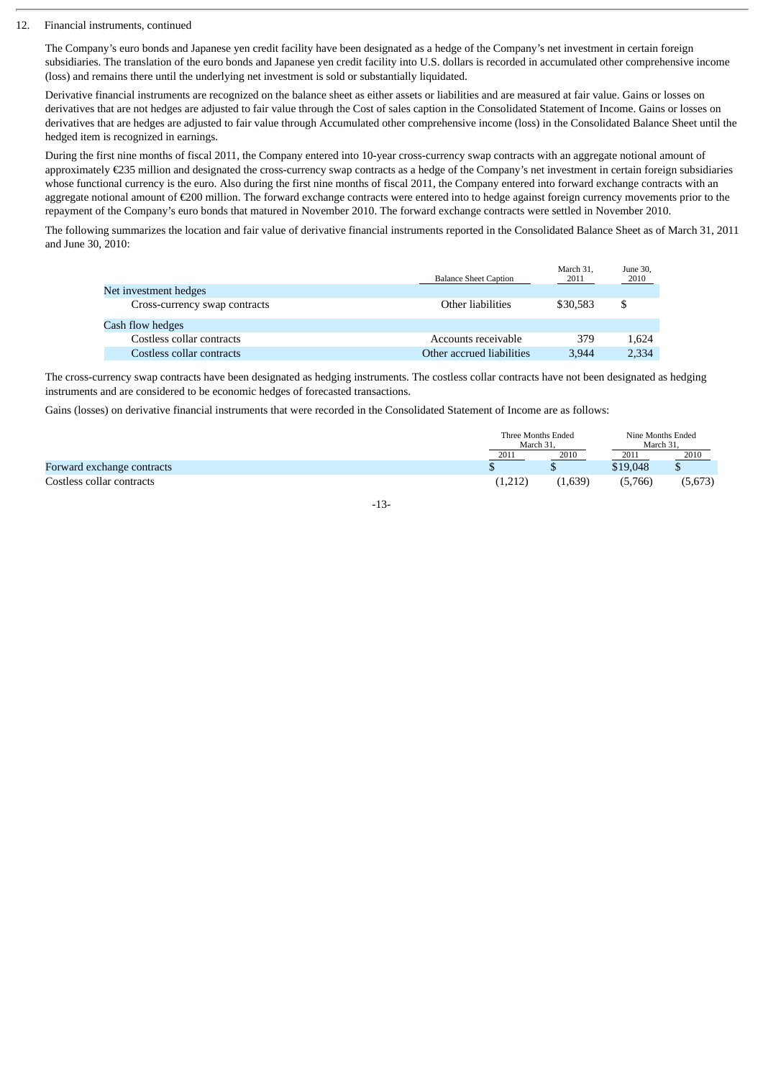#### 12. Financial instruments, continued

The Company's euro bonds and Japanese yen credit facility have been designated as a hedge of the Company's net investment in certain foreign subsidiaries. The translation of the euro bonds and Japanese yen credit facility into U.S. dollars is recorded in accumulated other comprehensive income (loss) and remains there until the underlying net investment is sold or substantially liquidated.

Derivative financial instruments are recognized on the balance sheet as either assets or liabilities and are measured at fair value. Gains or losses on derivatives that are not hedges are adjusted to fair value through the Cost of sales caption in the Consolidated Statement of Income. Gains or losses on derivatives that are hedges are adjusted to fair value through Accumulated other comprehensive income (loss) in the Consolidated Balance Sheet until the hedged item is recognized in earnings.

During the first nine months of fiscal 2011, the Company entered into 10-year cross-currency swap contracts with an aggregate notional amount of approximately €235 million and designated the cross-currency swap contracts as a hedge of the Company's net investment in certain foreign subsidiaries whose functional currency is the euro. Also during the first nine months of fiscal 2011, the Company entered into forward exchange contracts with an aggregate notional amount of €200 million. The forward exchange contracts were entered into to hedge against foreign currency movements prior to the repayment of the Company's euro bonds that matured in November 2010. The forward exchange contracts were settled in November 2010.

The following summarizes the location and fair value of derivative financial instruments reported in the Consolidated Balance Sheet as of March 31, 2011 and June 30, 2010:

|                               | <b>Balance Sheet Caption</b> | March 31,<br>2011 | June 30,<br>2010 |
|-------------------------------|------------------------------|-------------------|------------------|
| Net investment hedges         |                              |                   |                  |
| Cross-currency swap contracts | Other liabilities            | \$30,583          | \$               |
| Cash flow hedges              |                              |                   |                  |
| Costless collar contracts     | Accounts receivable          | 379               | 1.624            |
| Costless collar contracts     | Other accrued liabilities    | 3.944             | 2,334            |

The cross-currency swap contracts have been designated as hedging instruments. The costless collar contracts have not been designated as hedging instruments and are considered to be economic hedges of forecasted transactions.

Gains (losses) on derivative financial instruments that were recorded in the Consolidated Statement of Income are as follows:

|                                   | Three Months Ended<br>March 31 |         |          | Nine Months Ended<br>March 31 |  |
|-----------------------------------|--------------------------------|---------|----------|-------------------------------|--|
|                                   | 2011                           | 2010    | 2011     | 2010                          |  |
| <b>Forward exchange contracts</b> |                                |         | \$19,048 |                               |  |
| Costless collar contracts         | (1,212)                        | (1,639) | (5,766)  | (5,673)                       |  |

# -13-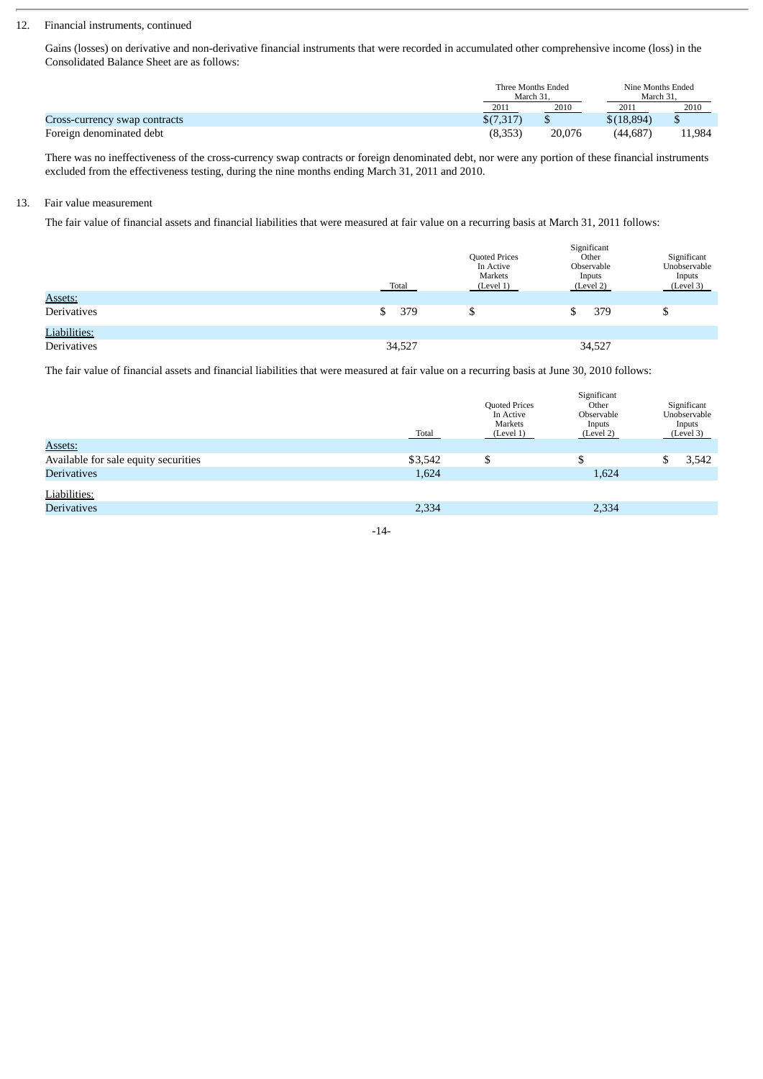## 12. Financial instruments, continued

Gains (losses) on derivative and non-derivative financial instruments that were recorded in accumulated other comprehensive income (loss) in the Consolidated Balance Sheet are as follows:

|                               |           | Three Months Ended<br>March 31 |            | Nine Months Ended<br>March 31 |  |
|-------------------------------|-----------|--------------------------------|------------|-------------------------------|--|
|                               | 2011      | 2010                           | 2011       | 2010                          |  |
| Cross-currency swap contracts | \$(7,317) |                                | \$(18,894) |                               |  |
| Foreign denominated debt      | (8,353)   | 20.076                         | (44.687    | 11,984                        |  |

There was no ineffectiveness of the cross-currency swap contracts or foreign denominated debt, nor were any portion of these financial instruments excluded from the effectiveness testing, during the nine months ending March 31, 2011 and 2010.

## 13. Fair value measurement

The fair value of financial assets and financial liabilities that were measured at fair value on a recurring basis at March 31, 2011 follows:

|                    | Total     | <b>Quoted Prices</b><br>In Active<br>Markets<br>(Level 1) | Significant<br>Other<br>Observable<br>Inputs<br>(Level 2) | Significant<br>Unobservable<br>Inputs<br>(Level 3) |
|--------------------|-----------|-----------------------------------------------------------|-----------------------------------------------------------|----------------------------------------------------|
| Assets:            |           |                                                           |                                                           |                                                    |
| <b>Derivatives</b> | 379<br>\$ | S.                                                        | 379                                                       | ш                                                  |
| Liabilities:       |           |                                                           |                                                           |                                                    |
| <b>Derivatives</b> | 34,527    |                                                           | 34,527                                                    |                                                    |

The fair value of financial assets and financial liabilities that were measured at fair value on a recurring basis at June 30, 2010 follows:

|                                      | <b>Total</b> | Quoted Prices<br>In Active<br>Markets<br>(Level 1) | Significant<br>Other<br>Observable<br>Inputs<br>(Level 2) | Significant<br>Unobservable<br>Inputs<br>(Level 3) |  |
|--------------------------------------|--------------|----------------------------------------------------|-----------------------------------------------------------|----------------------------------------------------|--|
| Assets:                              |              |                                                    |                                                           |                                                    |  |
| Available for sale equity securities | \$3,542      | \$                                                 | \$                                                        | 3,542                                              |  |
| <b>Derivatives</b>                   | 1,624        |                                                    | 1,624                                                     |                                                    |  |
| Liabilities:                         |              |                                                    |                                                           |                                                    |  |
| <b>Derivatives</b>                   | 2,334        |                                                    | 2,334                                                     |                                                    |  |
|                                      |              |                                                    |                                                           |                                                    |  |

-14-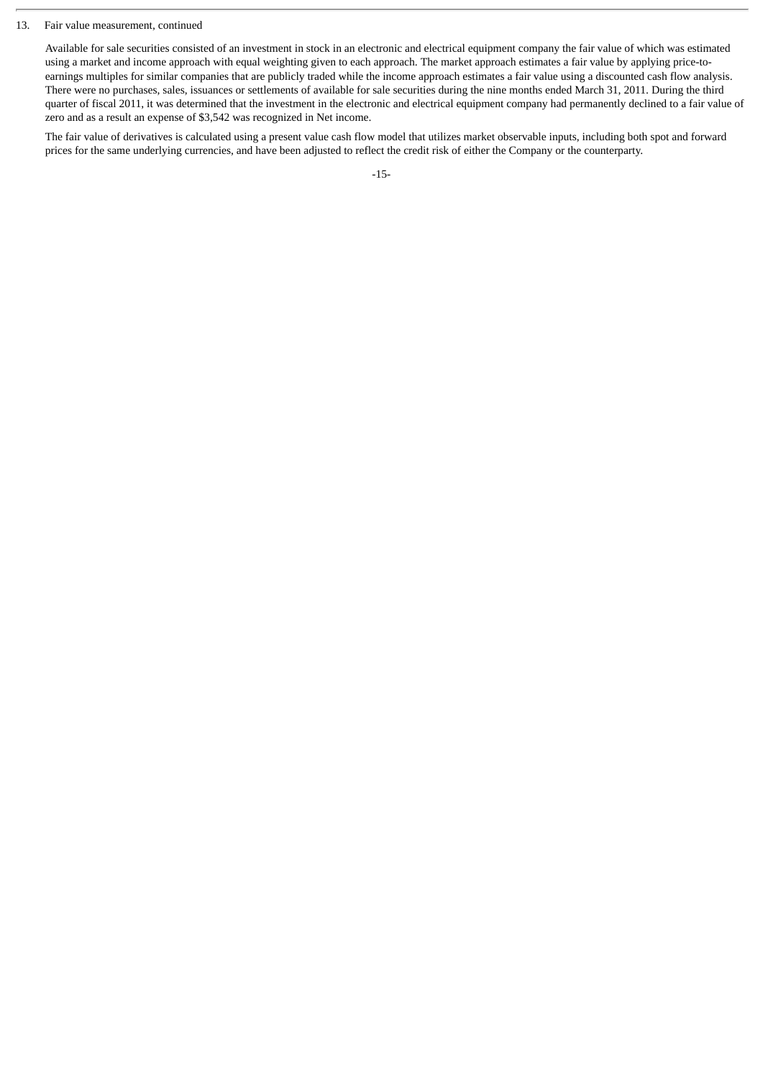#### 13. Fair value measurement, continued

Available for sale securities consisted of an investment in stock in an electronic and electrical equipment company the fair value of which was estimated using a market and income approach with equal weighting given to each approach. The market approach estimates a fair value by applying price-toearnings multiples for similar companies that are publicly traded while the income approach estimates a fair value using a discounted cash flow analysis. There were no purchases, sales, issuances or settlements of available for sale securities during the nine months ended March 31, 2011. During the third quarter of fiscal 2011, it was determined that the investment in the electronic and electrical equipment company had permanently declined to a fair value of zero and as a result an expense of \$3,542 was recognized in Net income.

The fair value of derivatives is calculated using a present value cash flow model that utilizes market observable inputs, including both spot and forward prices for the same underlying currencies, and have been adjusted to reflect the credit risk of either the Company or the counterparty.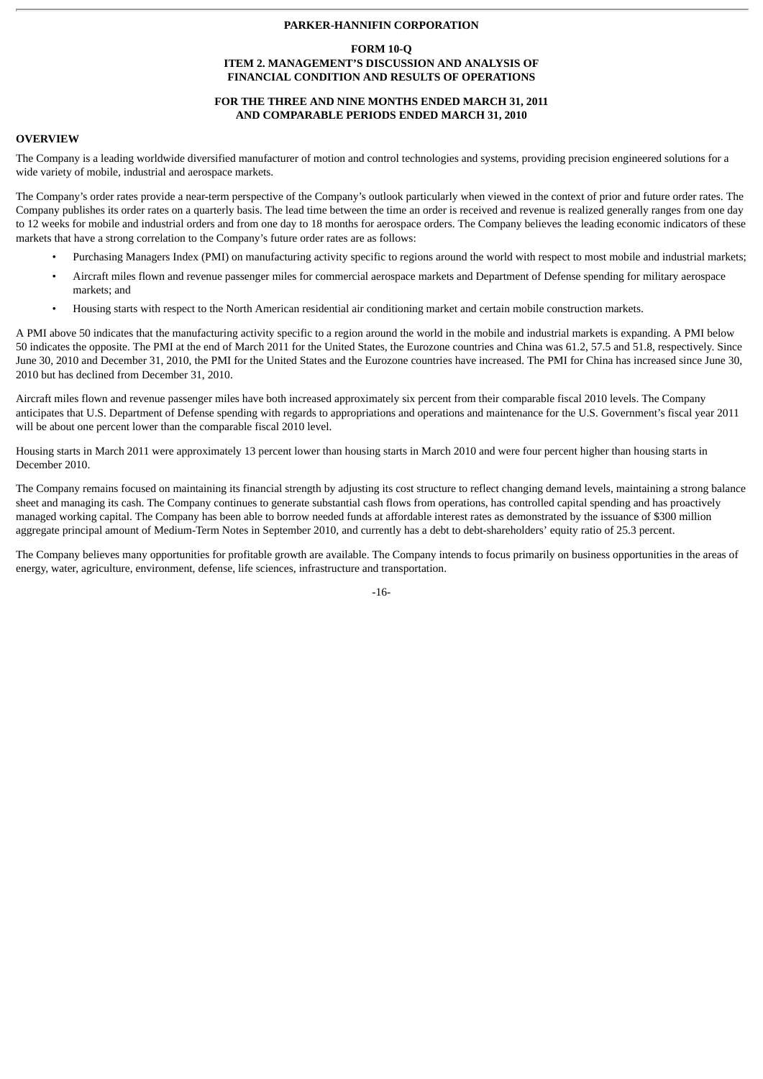## **PARKER-HANNIFIN CORPORATION**

#### **FORM 10-Q ITEM 2. MANAGEMENT'S DISCUSSION AND ANALYSIS OF FINANCIAL CONDITION AND RESULTS OF OPERATIONS**

# **FOR THE THREE AND NINE MONTHS ENDED MARCH 31, 2011 AND COMPARABLE PERIODS ENDED MARCH 31, 2010**

## **OVERVIEW**

The Company is a leading worldwide diversified manufacturer of motion and control technologies and systems, providing precision engineered solutions for a wide variety of mobile, industrial and aerospace markets.

The Company's order rates provide a near-term perspective of the Company's outlook particularly when viewed in the context of prior and future order rates. The Company publishes its order rates on a quarterly basis. The lead time between the time an order is received and revenue is realized generally ranges from one day to 12 weeks for mobile and industrial orders and from one day to 18 months for aerospace orders. The Company believes the leading economic indicators of these markets that have a strong correlation to the Company's future order rates are as follows:

- Purchasing Managers Index (PMI) on manufacturing activity specific to regions around the world with respect to most mobile and industrial markets;
- Aircraft miles flown and revenue passenger miles for commercial aerospace markets and Department of Defense spending for military aerospace markets; and
- Housing starts with respect to the North American residential air conditioning market and certain mobile construction markets.

A PMI above 50 indicates that the manufacturing activity specific to a region around the world in the mobile and industrial markets is expanding. A PMI below 50 indicates the opposite. The PMI at the end of March 2011 for the United States, the Eurozone countries and China was 61.2, 57.5 and 51.8, respectively. Since June 30, 2010 and December 31, 2010, the PMI for the United States and the Eurozone countries have increased. The PMI for China has increased since June 30, 2010 but has declined from December 31, 2010.

Aircraft miles flown and revenue passenger miles have both increased approximately six percent from their comparable fiscal 2010 levels. The Company anticipates that U.S. Department of Defense spending with regards to appropriations and operations and maintenance for the U.S. Government's fiscal year 2011 will be about one percent lower than the comparable fiscal 2010 level.

Housing starts in March 2011 were approximately 13 percent lower than housing starts in March 2010 and were four percent higher than housing starts in December 2010.

The Company remains focused on maintaining its financial strength by adjusting its cost structure to reflect changing demand levels, maintaining a strong balance sheet and managing its cash. The Company continues to generate substantial cash flows from operations, has controlled capital spending and has proactively managed working capital. The Company has been able to borrow needed funds at affordable interest rates as demonstrated by the issuance of \$300 million aggregate principal amount of Medium-Term Notes in September 2010, and currently has a debt to debt-shareholders' equity ratio of 25.3 percent.

The Company believes many opportunities for profitable growth are available. The Company intends to focus primarily on business opportunities in the areas of energy, water, agriculture, environment, defense, life sciences, infrastructure and transportation.

-16-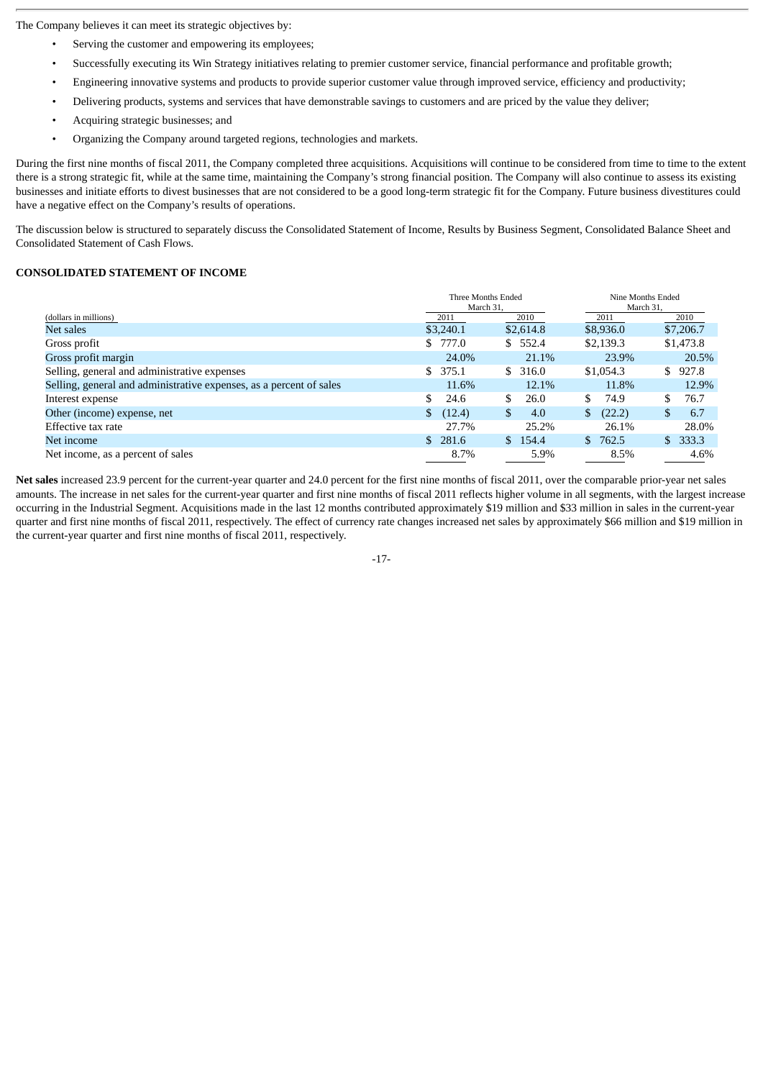The Company believes it can meet its strategic objectives by:

- Serving the customer and empowering its employees;
- Successfully executing its Win Strategy initiatives relating to premier customer service, financial performance and profitable growth;
- Engineering innovative systems and products to provide superior customer value through improved service, efficiency and productivity;
- Delivering products, systems and services that have demonstrable savings to customers and are priced by the value they deliver;
- Acquiring strategic businesses; and
- Organizing the Company around targeted regions, technologies and markets.

During the first nine months of fiscal 2011, the Company completed three acquisitions. Acquisitions will continue to be considered from time to time to the extent there is a strong strategic fit, while at the same time, maintaining the Company's strong financial position. The Company will also continue to assess its existing businesses and initiate efforts to divest businesses that are not considered to be a good long-term strategic fit for the Company. Future business divestitures could have a negative effect on the Company's results of operations.

The discussion below is structured to separately discuss the Consolidated Statement of Income, Results by Business Segment, Consolidated Balance Sheet and Consolidated Statement of Cash Flows.

## **CONSOLIDATED STATEMENT OF INCOME**

|                                                                     | Three Months Ended<br>March 31. |             | Nine Months Ended<br>March 31. |                         |  |
|---------------------------------------------------------------------|---------------------------------|-------------|--------------------------------|-------------------------|--|
| (dollars in millions)                                               | 2011                            | 2010        | 2011                           | 2010                    |  |
| Net sales                                                           | \$3,240.1                       | \$2,614.8   | \$8,936.0                      | \$7,206.7               |  |
| Gross profit                                                        | \$777.0                         | 552.4<br>\$ | \$2,139.3                      | \$1,473.8               |  |
| Gross profit margin                                                 | 24.0%                           | 21.1%       | 23.9%                          | 20.5%                   |  |
| Selling, general and administrative expenses                        | \$375.1                         | \$<br>316.0 | \$1,054.3                      | 927.8<br>\$.            |  |
| Selling, general and administrative expenses, as a percent of sales | 11.6%                           | 12.1%       | 11.8%                          | 12.9%                   |  |
| Interest expense                                                    | \$.<br>24.6                     | \$<br>26.0  | S.<br>74.9                     | 76.7<br>\$.             |  |
| Other (income) expense, net                                         | (12.4)<br>$\mathbb{S}$          | \$<br>4.0   | \$<br>(22.2)                   | 6.7<br>\$               |  |
| Effective tax rate                                                  | 27.7%                           | 25.2%       | 26.1%                          | 28.0%                   |  |
| Net income                                                          | \$281.6                         | \$154.4     | $\mathbf{s}$<br>762.5          | 333.3<br>$\mathbb{S}^-$ |  |
| Net income, as a percent of sales                                   | 8.7%                            | 5.9%        | 8.5%                           | 4.6%                    |  |

**Net sales** increased 23.9 percent for the current-year quarter and 24.0 percent for the first nine months of fiscal 2011, over the comparable prior-year net sales amounts. The increase in net sales for the current-year quarter and first nine months of fiscal 2011 reflects higher volume in all segments, with the largest increase occurring in the Industrial Segment. Acquisitions made in the last 12 months contributed approximately \$19 million and \$33 million in sales in the current-year quarter and first nine months of fiscal 2011, respectively. The effect of currency rate changes increased net sales by approximately \$66 million and \$19 million in the current-year quarter and first nine months of fiscal 2011, respectively.

-17-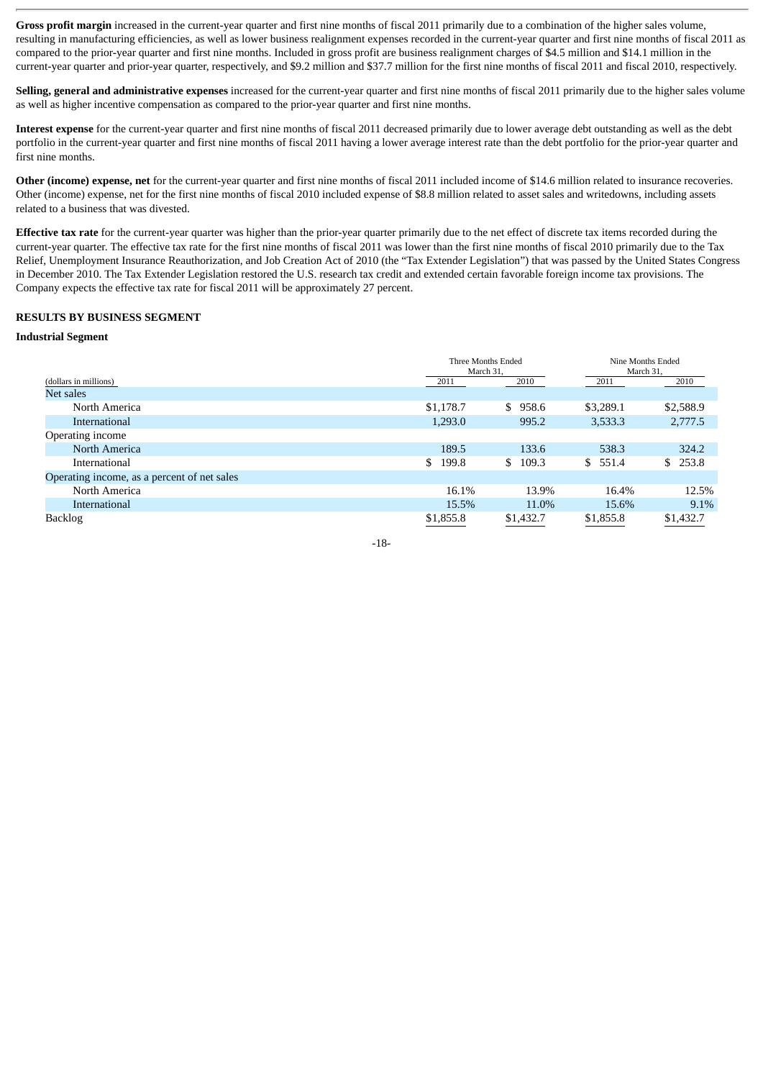Gross profit margin increased in the current-year quarter and first nine months of fiscal 2011 primarily due to a combination of the higher sales volume, resulting in manufacturing efficiencies, as well as lower business realignment expenses recorded in the current-year quarter and first nine months of fiscal 2011 as compared to the prior-year quarter and first nine months. Included in gross profit are business realignment charges of \$4.5 million and \$14.1 million in the current-year quarter and prior-year quarter, respectively, and \$9.2 million and \$37.7 million for the first nine months of fiscal 2011 and fiscal 2010, respectively.

**Selling, general and administrative expenses** increased for the current-year quarter and first nine months of fiscal 2011 primarily due to the higher sales volume as well as higher incentive compensation as compared to the prior-year quarter and first nine months.

**Interest expense** for the current-year quarter and first nine months of fiscal 2011 decreased primarily due to lower average debt outstanding as well as the debt portfolio in the current-year quarter and first nine months of fiscal 2011 having a lower average interest rate than the debt portfolio for the prior-year quarter and first nine months.

**Other (income) expense, net** for the current-year quarter and first nine months of fiscal 2011 included income of \$14.6 million related to insurance recoveries. Other (income) expense, net for the first nine months of fiscal 2010 included expense of \$8.8 million related to asset sales and writedowns, including assets related to a business that was divested.

**Effective tax rate** for the current-year quarter was higher than the prior-year quarter primarily due to the net effect of discrete tax items recorded during the current-year quarter. The effective tax rate for the first nine months of fiscal 2011 was lower than the first nine months of fiscal 2010 primarily due to the Tax Relief, Unemployment Insurance Reauthorization, and Job Creation Act of 2010 (the "Tax Extender Legislation") that was passed by the United States Congress in December 2010. The Tax Extender Legislation restored the U.S. research tax credit and extended certain favorable foreign income tax provisions. The Company expects the effective tax rate for fiscal 2011 will be approximately 27 percent.

# **RESULTS BY BUSINESS SEGMENT**

#### **Industrial Segment**

|                                             | Three Months Ended<br>March 31. |             | Nine Months Ended<br>March 31, |           |
|---------------------------------------------|---------------------------------|-------------|--------------------------------|-----------|
| (dollars in millions)                       | 2011                            | 2010        | 2011                           | 2010      |
| Net sales                                   |                                 |             |                                |           |
| North America                               | \$1,178.7                       | \$<br>958.6 | \$3,289.1                      | \$2,588.9 |
| International                               | 1,293.0                         | 995.2       | 3,533.3                        | 2,777.5   |
| Operating income                            |                                 |             |                                |           |
| North America                               | 189.5                           | 133.6       | 538.3                          | 324.2     |
| International                               | 199.8<br>\$                     | \$109.3     | \$551.4                        | \$253.8   |
| Operating income, as a percent of net sales |                                 |             |                                |           |
| North America                               | 16.1%                           | 13.9%       | 16.4%                          | 12.5%     |
| International                               | 15.5%                           | 11.0%       | 15.6%                          | 9.1%      |
| <b>Backlog</b>                              | \$1,855.8                       | \$1,432.7   | \$1,855.8                      | \$1,432.7 |

-18-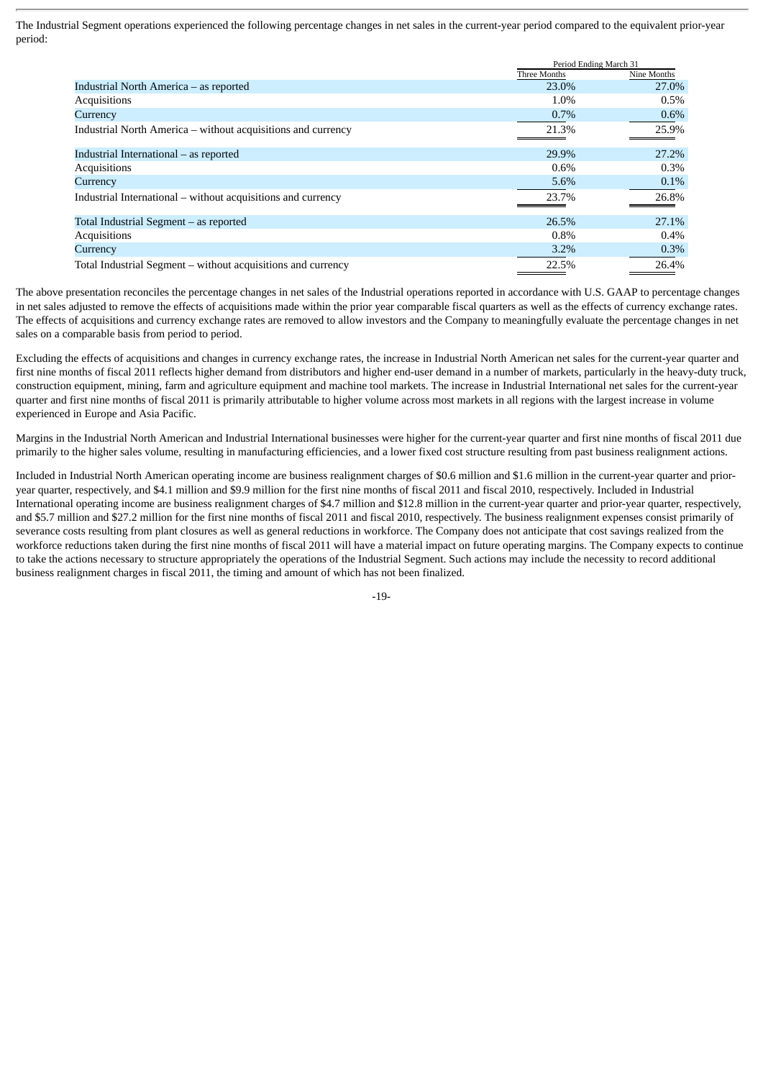The Industrial Segment operations experienced the following percentage changes in net sales in the current-year period compared to the equivalent prior-year period:

|                                                              |              | Period Ending March 31 |
|--------------------------------------------------------------|--------------|------------------------|
|                                                              | Three Months | Nine Months            |
| Industrial North America – as reported                       | 23.0%        | 27.0%                  |
| Acquisitions                                                 | 1.0%         | $0.5\%$                |
| Currency                                                     | $0.7\%$      | $0.6\%$                |
| Industrial North America – without acquisitions and currency | 21.3%        | 25.9%                  |
| Industrial International – as reported                       | 29.9%        | 27.2%                  |
| Acquisitions                                                 | $0.6\%$      | $0.3\%$                |
| Currency                                                     | 5.6%         | $0.1\%$                |
| Industrial International – without acquisitions and currency | 23.7%        | 26.8%                  |
| Total Industrial Segment - as reported                       | 26.5%        | 27.1%                  |
| Acquisitions                                                 | $0.8\%$      | $0.4\%$                |
| Currency                                                     | 3.2%         | 0.3%                   |
| Total Industrial Segment – without acquisitions and currency | 22.5%        | 26.4%                  |

The above presentation reconciles the percentage changes in net sales of the Industrial operations reported in accordance with U.S. GAAP to percentage changes in net sales adjusted to remove the effects of acquisitions made within the prior year comparable fiscal quarters as well as the effects of currency exchange rates. The effects of acquisitions and currency exchange rates are removed to allow investors and the Company to meaningfully evaluate the percentage changes in net sales on a comparable basis from period to period.

Excluding the effects of acquisitions and changes in currency exchange rates, the increase in Industrial North American net sales for the current-year quarter and first nine months of fiscal 2011 reflects higher demand from distributors and higher end-user demand in a number of markets, particularly in the heavy-duty truck, construction equipment, mining, farm and agriculture equipment and machine tool markets. The increase in Industrial International net sales for the current-year quarter and first nine months of fiscal 2011 is primarily attributable to higher volume across most markets in all regions with the largest increase in volume experienced in Europe and Asia Pacific.

Margins in the Industrial North American and Industrial International businesses were higher for the current-year quarter and first nine months of fiscal 2011 due primarily to the higher sales volume, resulting in manufacturing efficiencies, and a lower fixed cost structure resulting from past business realignment actions.

Included in Industrial North American operating income are business realignment charges of \$0.6 million and \$1.6 million in the current-year quarter and prioryear quarter, respectively, and \$4.1 million and \$9.9 million for the first nine months of fiscal 2011 and fiscal 2010, respectively. Included in Industrial International operating income are business realignment charges of \$4.7 million and \$12.8 million in the current-year quarter and prior-year quarter, respectively, and \$5.7 million and \$27.2 million for the first nine months of fiscal 2011 and fiscal 2010, respectively. The business realignment expenses consist primarily of severance costs resulting from plant closures as well as general reductions in workforce. The Company does not anticipate that cost savings realized from the workforce reductions taken during the first nine months of fiscal 2011 will have a material impact on future operating margins. The Company expects to continue to take the actions necessary to structure appropriately the operations of the Industrial Segment. Such actions may include the necessity to record additional business realignment charges in fiscal 2011, the timing and amount of which has not been finalized.

-19-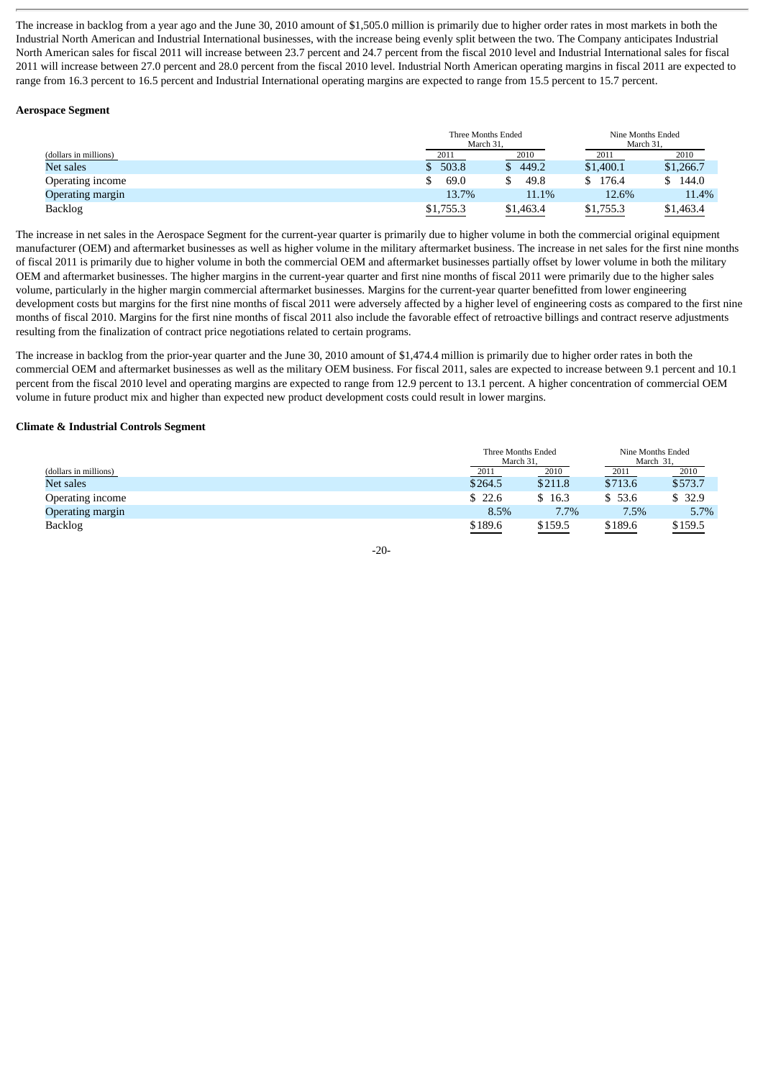The increase in backlog from a year ago and the June 30, 2010 amount of \$1,505.0 million is primarily due to higher order rates in most markets in both the Industrial North American and Industrial International businesses, with the increase being evenly split between the two. The Company anticipates Industrial North American sales for fiscal 2011 will increase between 23.7 percent and 24.7 percent from the fiscal 2010 level and Industrial International sales for fiscal 2011 will increase between 27.0 percent and 28.0 percent from the fiscal 2010 level. Industrial North American operating margins in fiscal 2011 are expected to range from 16.3 percent to 16.5 percent and Industrial International operating margins are expected to range from 15.5 percent to 15.7 percent.

## **Aerospace Segment**

|                       | Three Months Ended<br>March 31. |           | Nine Months Ended<br>March 31. |           |
|-----------------------|---------------------------------|-----------|--------------------------------|-----------|
| (dollars in millions) | 2011                            | 2010      | 2011                           | 2010      |
| Net sales             | \$503.8                         | 449.2     | \$1,400.1                      | \$1,266.7 |
| Operating income      | 69.0                            | 49.8      | \$176.4                        | 144.0     |
| Operating margin      | 13.7%                           | 11.1%     | 12.6%                          | 11.4%     |
| <b>Backlog</b>        | \$1,755.3                       | \$1,463.4 | \$1,755.3                      | \$1,463.4 |

The increase in net sales in the Aerospace Segment for the current-year quarter is primarily due to higher volume in both the commercial original equipment manufacturer (OEM) and aftermarket businesses as well as higher volume in the military aftermarket business. The increase in net sales for the first nine months of fiscal 2011 is primarily due to higher volume in both the commercial OEM and aftermarket businesses partially offset by lower volume in both the military OEM and aftermarket businesses. The higher margins in the current-year quarter and first nine months of fiscal 2011 were primarily due to the higher sales volume, particularly in the higher margin commercial aftermarket businesses. Margins for the current-year quarter benefitted from lower engineering development costs but margins for the first nine months of fiscal 2011 were adversely affected by a higher level of engineering costs as compared to the first nine months of fiscal 2010. Margins for the first nine months of fiscal 2011 also include the favorable effect of retroactive billings and contract reserve adjustments resulting from the finalization of contract price negotiations related to certain programs.

The increase in backlog from the prior-year quarter and the June 30, 2010 amount of \$1,474.4 million is primarily due to higher order rates in both the commercial OEM and aftermarket businesses as well as the military OEM business. For fiscal 2011, sales are expected to increase between 9.1 percent and 10.1 percent from the fiscal 2010 level and operating margins are expected to range from 12.9 percent to 13.1 percent. A higher concentration of commercial OEM volume in future product mix and higher than expected new product development costs could result in lower margins.

#### **Climate & Industrial Controls Segment**

|                       |         | Three Months Ended<br>March 31, |         | Nine Months Ended<br>March 31, |
|-----------------------|---------|---------------------------------|---------|--------------------------------|
| (dollars in millions) | 2011    | 2010                            | 2011    | 2010                           |
| Net sales             | \$264.5 | \$211.8                         | \$713.6 | \$573.7                        |
| Operating income      | \$22.6  | 16.3                            | \$53.6  | \$32.9                         |
| Operating margin      | 8.5%    | 7.7%                            | $7.5\%$ | 5.7%                           |
| <b>Backlog</b>        | \$189.6 | \$159.5                         | \$189.6 | \$159.5                        |

-20-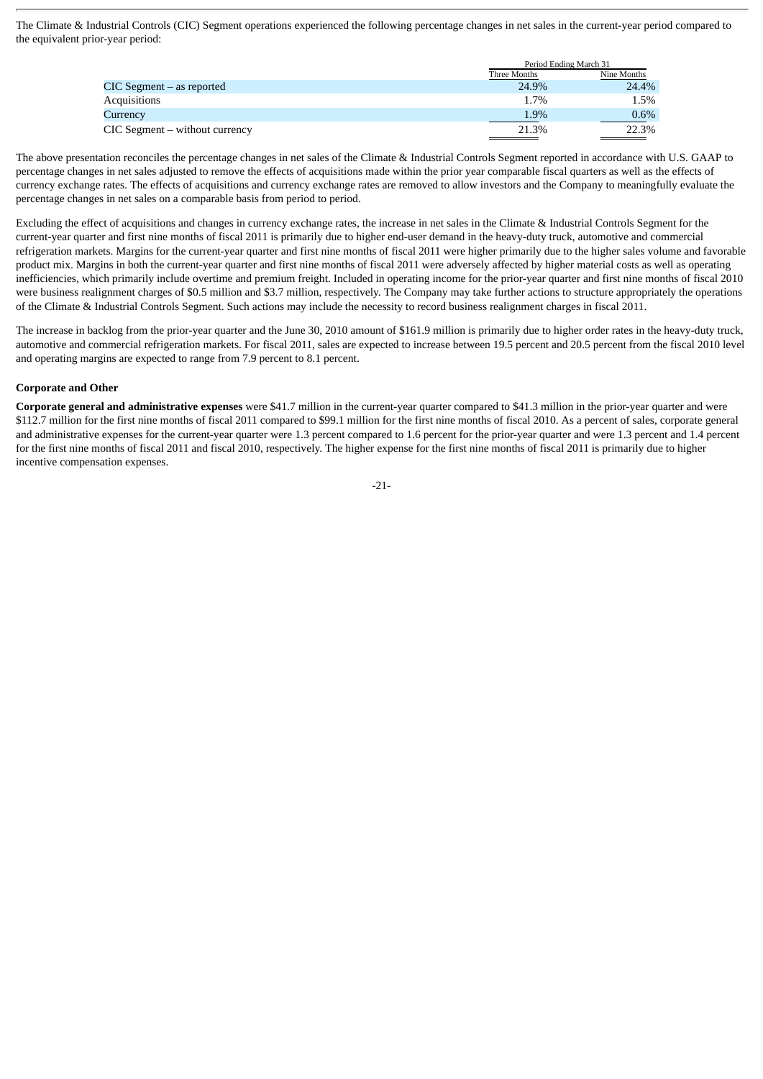The Climate & Industrial Controls (CIC) Segment operations experienced the following percentage changes in net sales in the current-year period compared to the equivalent prior-year period:

|                                    |              | Period Ending March 31 |  |  |
|------------------------------------|--------------|------------------------|--|--|
|                                    | Three Months | Nine Months            |  |  |
| $CIC$ Segment $-$ as reported      | 24.9%        | 24.4%                  |  |  |
| <b>Acquisitions</b>                | 1.7%         | 1.5%                   |  |  |
| Currency                           | 1.9%         | $0.6\%$                |  |  |
| $CIC$ Segment $-$ without currency | 21.3%        | 22.3%                  |  |  |

The above presentation reconciles the percentage changes in net sales of the Climate & Industrial Controls Segment reported in accordance with U.S. GAAP to percentage changes in net sales adjusted to remove the effects of acquisitions made within the prior year comparable fiscal quarters as well as the effects of currency exchange rates. The effects of acquisitions and currency exchange rates are removed to allow investors and the Company to meaningfully evaluate the percentage changes in net sales on a comparable basis from period to period.

Excluding the effect of acquisitions and changes in currency exchange rates, the increase in net sales in the Climate & Industrial Controls Segment for the current-year quarter and first nine months of fiscal 2011 is primarily due to higher end-user demand in the heavy-duty truck, automotive and commercial refrigeration markets. Margins for the current-year quarter and first nine months of fiscal 2011 were higher primarily due to the higher sales volume and favorable product mix. Margins in both the current-year quarter and first nine months of fiscal 2011 were adversely affected by higher material costs as well as operating inefficiencies, which primarily include overtime and premium freight. Included in operating income for the prior-year quarter and first nine months of fiscal 2010 were business realignment charges of \$0.5 million and \$3.7 million, respectively. The Company may take further actions to structure appropriately the operations of the Climate & Industrial Controls Segment. Such actions may include the necessity to record business realignment charges in fiscal 2011.

The increase in backlog from the prior-year quarter and the June 30, 2010 amount of \$161.9 million is primarily due to higher order rates in the heavy-duty truck, automotive and commercial refrigeration markets. For fiscal 2011, sales are expected to increase between 19.5 percent and 20.5 percent from the fiscal 2010 level and operating margins are expected to range from 7.9 percent to 8.1 percent.

## **Corporate and Other**

**Corporate general and administrative expenses** were \$41.7 million in the current-year quarter compared to \$41.3 million in the prior-year quarter and were \$112.7 million for the first nine months of fiscal 2011 compared to \$99.1 million for the first nine months of fiscal 2010. As a percent of sales, corporate general and administrative expenses for the current-year quarter were 1.3 percent compared to 1.6 percent for the prior-year quarter and were 1.3 percent and 1.4 percent for the first nine months of fiscal 2011 and fiscal 2010, respectively. The higher expense for the first nine months of fiscal 2011 is primarily due to higher incentive compensation expenses.

$$
\text{-}21\text{-}
$$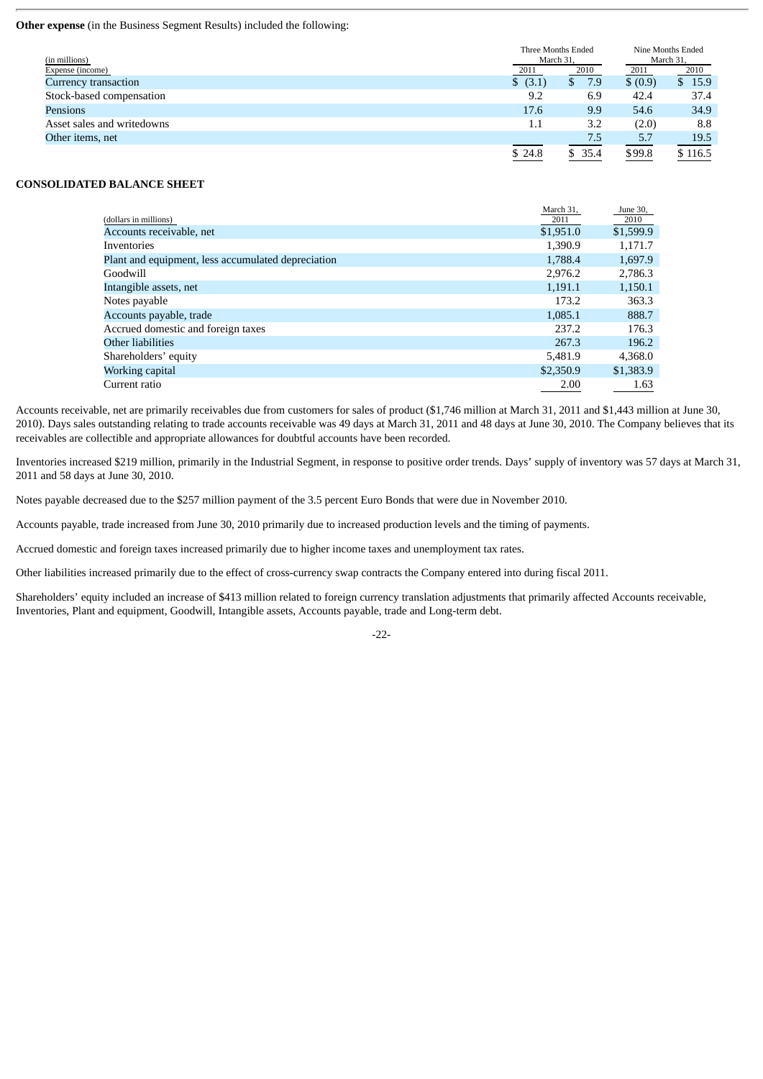## **Other expense** (in the Business Segment Results) included the following:

| (in millions)              |          | Three Months Ended<br>March 31, |          | Nine Months Ended<br>March 31, |  |
|----------------------------|----------|---------------------------------|----------|--------------------------------|--|
| Expense (income)           | 2011     | 2010                            |          | 2010                           |  |
| Currency transaction       | \$ (3.1) | 7.9<br>\$                       | \$ (0.9) | \$15.9                         |  |
| Stock-based compensation   | 9.2      | 6.9                             | 42.4     | 37.4                           |  |
| Pensions                   | 17.6     | 9.9                             | 54.6     | 34.9                           |  |
| Asset sales and writedowns | 1.1      | 3.2                             | (2.0)    | 8.8                            |  |
| Other items, net           |          | 7.5                             | 5.7      | 19.5                           |  |
|                            | \$24.8   | \$35.4                          | \$99.8   | \$116.5                        |  |

## **CONSOLIDATED BALANCE SHEET**

|                                                    | March 31, | June 30,  |
|----------------------------------------------------|-----------|-----------|
| (dollars in millions)                              | 2011      | 2010      |
| Accounts receivable, net                           | \$1,951.0 | \$1,599.9 |
| <b>Inventories</b>                                 | 1,390.9   | 1,171.7   |
| Plant and equipment, less accumulated depreciation | 1,788.4   | 1,697.9   |
| Goodwill                                           | 2,976.2   | 2,786.3   |
| Intangible assets, net                             | 1.191.1   | 1,150.1   |
| Notes payable                                      | 173.2     | 363.3     |
| Accounts payable, trade                            | 1,085.1   | 888.7     |
| Accrued domestic and foreign taxes                 | 237.2     | 176.3     |
| Other liabilities                                  | 267.3     | 196.2     |
| Shareholders' equity                               | 5.481.9   | 4,368.0   |
| Working capital                                    | \$2,350.9 | \$1,383.9 |
| Current ratio                                      | 2.00      | 1.63      |

Accounts receivable, net are primarily receivables due from customers for sales of product (\$1,746 million at March 31, 2011 and \$1,443 million at June 30, 2010). Days sales outstanding relating to trade accounts receivable was 49 days at March 31, 2011 and 48 days at June 30, 2010. The Company believes that its receivables are collectible and appropriate allowances for doubtful accounts have been recorded.

Inventories increased \$219 million, primarily in the Industrial Segment, in response to positive order trends. Days' supply of inventory was 57 days at March 31, 2011 and 58 days at June 30, 2010.

Notes payable decreased due to the \$257 million payment of the 3.5 percent Euro Bonds that were due in November 2010.

Accounts payable, trade increased from June 30, 2010 primarily due to increased production levels and the timing of payments.

Accrued domestic and foreign taxes increased primarily due to higher income taxes and unemployment tax rates.

Other liabilities increased primarily due to the effect of cross-currency swap contracts the Company entered into during fiscal 2011.

Shareholders' equity included an increase of \$413 million related to foreign currency translation adjustments that primarily affected Accounts receivable, Inventories, Plant and equipment, Goodwill, Intangible assets, Accounts payable, trade and Long-term debt.

-22-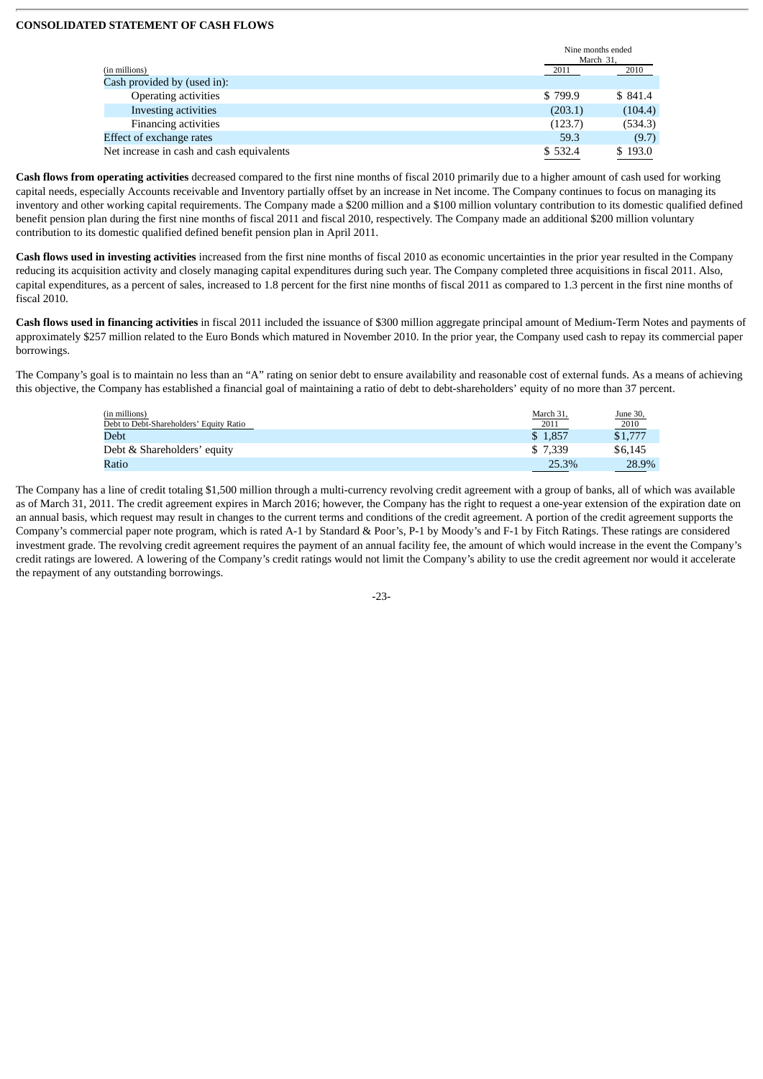## **CONSOLIDATED STATEMENT OF CASH FLOWS**

|                                           | Nine months ended<br>March 31. |         |
|-------------------------------------------|--------------------------------|---------|
| (in millions)                             | 2011                           | 2010    |
| Cash provided by (used in):               |                                |         |
| <b>Operating activities</b>               | \$799.9                        | \$841.4 |
| Investing activities                      | (203.1)                        | (104.4) |
| <b>Financing activities</b>               | (123.7)                        | (534.3) |
| Effect of exchange rates                  | 59.3                           | (9.7)   |
| Net increase in cash and cash equivalents | \$532.4                        | \$193.0 |

**Cash flows from operating activities** decreased compared to the first nine months of fiscal 2010 primarily due to a higher amount of cash used for working capital needs, especially Accounts receivable and Inventory partially offset by an increase in Net income. The Company continues to focus on managing its inventory and other working capital requirements. The Company made a \$200 million and a \$100 million voluntary contribution to its domestic qualified defined benefit pension plan during the first nine months of fiscal 2011 and fiscal 2010, respectively. The Company made an additional \$200 million voluntary contribution to its domestic qualified defined benefit pension plan in April 2011.

**Cash flows used in investing activities** increased from the first nine months of fiscal 2010 as economic uncertainties in the prior year resulted in the Company reducing its acquisition activity and closely managing capital expenditures during such year. The Company completed three acquisitions in fiscal 2011. Also, capital expenditures, as a percent of sales, increased to 1.8 percent for the first nine months of fiscal 2011 as compared to 1.3 percent in the first nine months of fiscal 2010.

**Cash flows used in financing activities** in fiscal 2011 included the issuance of \$300 million aggregate principal amount of Medium-Term Notes and payments of approximately \$257 million related to the Euro Bonds which matured in November 2010. In the prior year, the Company used cash to repay its commercial paper borrowings.

The Company's goal is to maintain no less than an "A" rating on senior debt to ensure availability and reasonable cost of external funds. As a means of achieving this objective, the Company has established a financial goal of maintaining a ratio of debt to debt-shareholders' equity of no more than 37 percent.

| (in millions)                           | March 31 | June 30, |
|-----------------------------------------|----------|----------|
| Debt to Debt-Shareholders' Equity Ratio | 2011     | 2010     |
| Debt                                    | \$1.857  | \$1,777  |
| Debt & Shareholders' equity             | \$ 7.339 | \$6.145  |
| Ratio                                   | 25.3%    | 28.9%    |

The Company has a line of credit totaling \$1,500 million through a multi-currency revolving credit agreement with a group of banks, all of which was available as of March 31, 2011. The credit agreement expires in March 2016; however, the Company has the right to request a one-year extension of the expiration date on an annual basis, which request may result in changes to the current terms and conditions of the credit agreement. A portion of the credit agreement supports the Company's commercial paper note program, which is rated A-1 by Standard & Poor's, P-1 by Moody's and F-1 by Fitch Ratings. These ratings are considered investment grade. The revolving credit agreement requires the payment of an annual facility fee, the amount of which would increase in the event the Company's credit ratings are lowered. A lowering of the Company's credit ratings would not limit the Company's ability to use the credit agreement nor would it accelerate the repayment of any outstanding borrowings.

-23-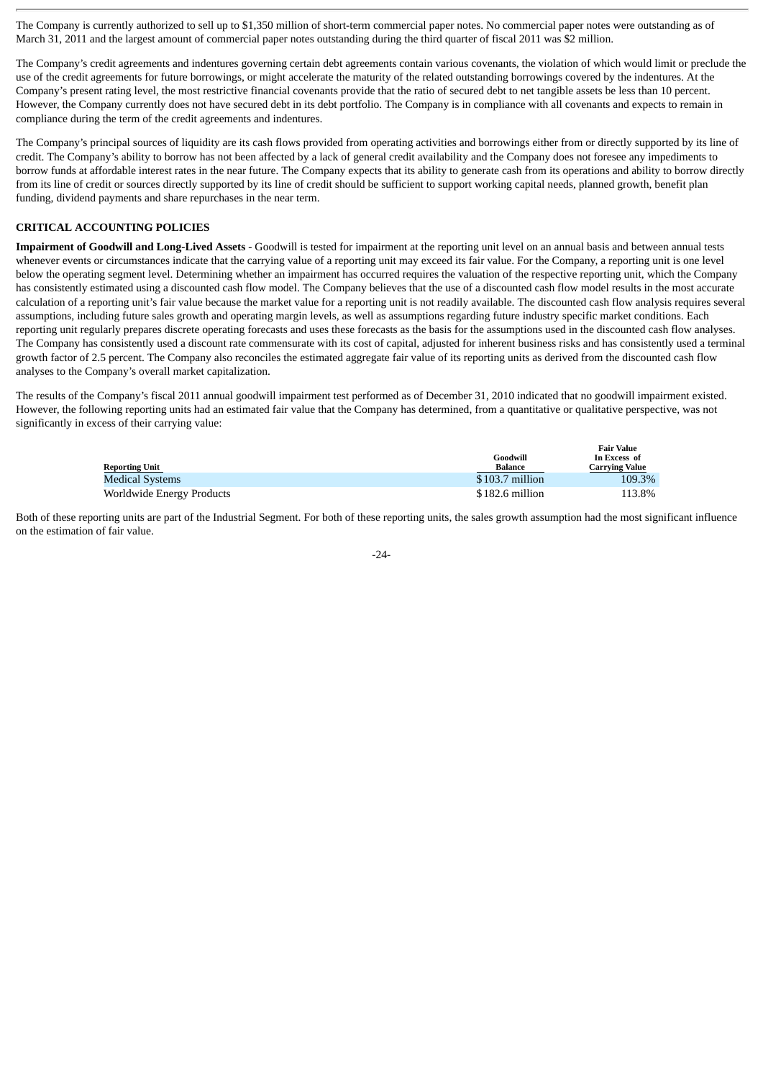The Company is currently authorized to sell up to \$1,350 million of short-term commercial paper notes. No commercial paper notes were outstanding as of March 31, 2011 and the largest amount of commercial paper notes outstanding during the third quarter of fiscal 2011 was \$2 million.

The Company's credit agreements and indentures governing certain debt agreements contain various covenants, the violation of which would limit or preclude the use of the credit agreements for future borrowings, or might accelerate the maturity of the related outstanding borrowings covered by the indentures. At the Company's present rating level, the most restrictive financial covenants provide that the ratio of secured debt to net tangible assets be less than 10 percent. However, the Company currently does not have secured debt in its debt portfolio. The Company is in compliance with all covenants and expects to remain in compliance during the term of the credit agreements and indentures.

The Company's principal sources of liquidity are its cash flows provided from operating activities and borrowings either from or directly supported by its line of credit. The Company's ability to borrow has not been affected by a lack of general credit availability and the Company does not foresee any impediments to borrow funds at affordable interest rates in the near future. The Company expects that its ability to generate cash from its operations and ability to borrow directly from its line of credit or sources directly supported by its line of credit should be sufficient to support working capital needs, planned growth, benefit plan funding, dividend payments and share repurchases in the near term.

# **CRITICAL ACCOUNTING POLICIES**

**Impairment of Goodwill and Long-Lived Assets** - Goodwill is tested for impairment at the reporting unit level on an annual basis and between annual tests whenever events or circumstances indicate that the carrying value of a reporting unit may exceed its fair value. For the Company, a reporting unit is one level below the operating segment level. Determining whether an impairment has occurred requires the valuation of the respective reporting unit, which the Company has consistently estimated using a discounted cash flow model. The Company believes that the use of a discounted cash flow model results in the most accurate calculation of a reporting unit's fair value because the market value for a reporting unit is not readily available. The discounted cash flow analysis requires several assumptions, including future sales growth and operating margin levels, as well as assumptions regarding future industry specific market conditions. Each reporting unit regularly prepares discrete operating forecasts and uses these forecasts as the basis for the assumptions used in the discounted cash flow analyses. The Company has consistently used a discount rate commensurate with its cost of capital, adjusted for inherent business risks and has consistently used a terminal growth factor of 2.5 percent. The Company also reconciles the estimated aggregate fair value of its reporting units as derived from the discounted cash flow analyses to the Company's overall market capitalization.

The results of the Company's fiscal 2011 annual goodwill impairment test performed as of December 31, 2010 indicated that no goodwill impairment existed. However, the following reporting units had an estimated fair value that the Company has determined, from a quantitative or qualitative perspective, was not significantly in excess of their carrying value:

|                           |                  | ran vann              |
|---------------------------|------------------|-----------------------|
|                           | Goodwill         | In Excess of          |
| <b>Reporting Unit</b>     | Balance          | <b>Carrving Value</b> |
| Medical Systems           | $$103.7$ million | 109.3%                |
| Worldwide Energy Products | \$182.6 million  | 113.8%                |

**Fair Value**

Both of these reporting units are part of the Industrial Segment. For both of these reporting units, the sales growth assumption had the most significant influence on the estimation of fair value.

-24-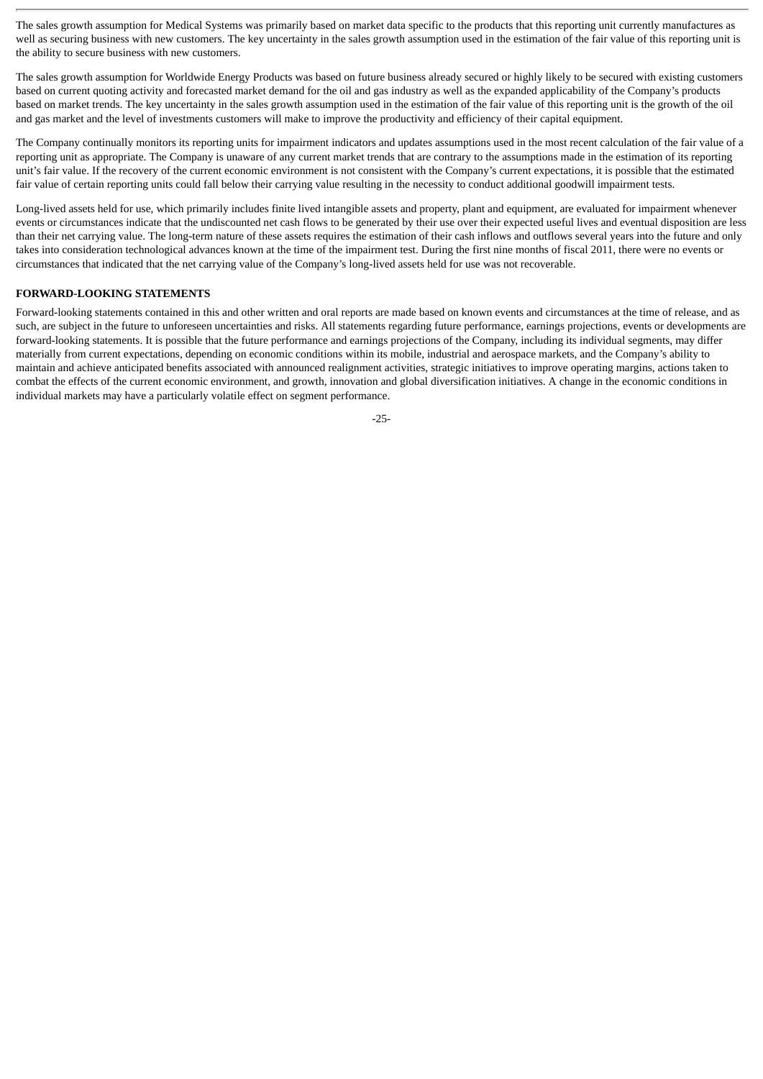The sales growth assumption for Medical Systems was primarily based on market data specific to the products that this reporting unit currently manufactures as well as securing business with new customers. The key uncertainty in the sales growth assumption used in the estimation of the fair value of this reporting unit is the ability to secure business with new customers.

The sales growth assumption for Worldwide Energy Products was based on future business already secured or highly likely to be secured with existing customers based on current quoting activity and forecasted market demand for the oil and gas industry as well as the expanded applicability of the Company's products based on market trends. The key uncertainty in the sales growth assumption used in the estimation of the fair value of this reporting unit is the growth of the oil and gas market and the level of investments customers will make to improve the productivity and efficiency of their capital equipment.

The Company continually monitors its reporting units for impairment indicators and updates assumptions used in the most recent calculation of the fair value of a reporting unit as appropriate. The Company is unaware of any current market trends that are contrary to the assumptions made in the estimation of its reporting unit's fair value. If the recovery of the current economic environment is not consistent with the Company's current expectations, it is possible that the estimated fair value of certain reporting units could fall below their carrying value resulting in the necessity to conduct additional goodwill impairment tests.

Long-lived assets held for use, which primarily includes finite lived intangible assets and property, plant and equipment, are evaluated for impairment whenever events or circumstances indicate that the undiscounted net cash flows to be generated by their use over their expected useful lives and eventual disposition are less than their net carrying value. The long-term nature of these assets requires the estimation of their cash inflows and outflows several years into the future and only takes into consideration technological advances known at the time of the impairment test. During the first nine months of fiscal 2011, there were no events or circumstances that indicated that the net carrying value of the Company's long-lived assets held for use was not recoverable.

## **FORWARD-LOOKING STATEMENTS**

Forward-looking statements contained in this and other written and oral reports are made based on known events and circumstances at the time of release, and as such, are subject in the future to unforeseen uncertainties and risks. All statements regarding future performance, earnings projections, events or developments are forward-looking statements. It is possible that the future performance and earnings projections of the Company, including its individual segments, may differ materially from current expectations, depending on economic conditions within its mobile, industrial and aerospace markets, and the Company's ability to maintain and achieve anticipated benefits associated with announced realignment activities, strategic initiatives to improve operating margins, actions taken to combat the effects of the current economic environment, and growth, innovation and global diversification initiatives. A change in the economic conditions in individual markets may have a particularly volatile effect on segment performance.

-25-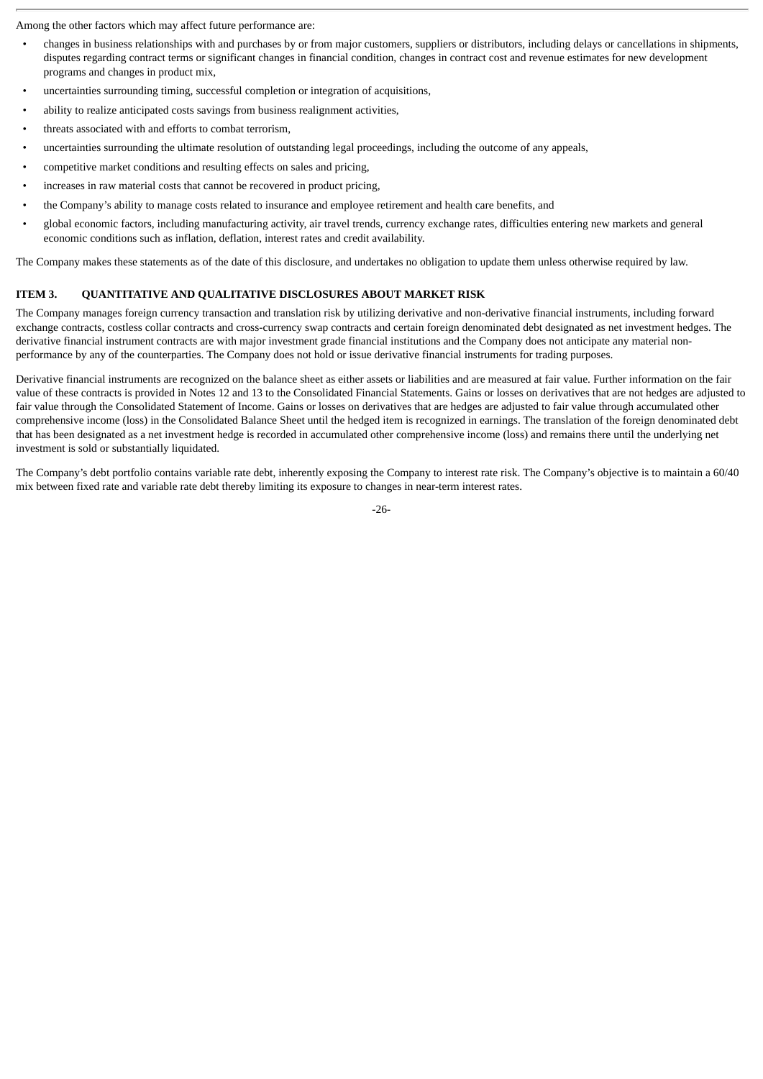Among the other factors which may affect future performance are:

- changes in business relationships with and purchases by or from major customers, suppliers or distributors, including delays or cancellations in shipments, disputes regarding contract terms or significant changes in financial condition, changes in contract cost and revenue estimates for new development programs and changes in product mix,
- uncertainties surrounding timing, successful completion or integration of acquisitions,
- ability to realize anticipated costs savings from business realignment activities,
- threats associated with and efforts to combat terrorism,
- uncertainties surrounding the ultimate resolution of outstanding legal proceedings, including the outcome of any appeals,
- competitive market conditions and resulting effects on sales and pricing,
- increases in raw material costs that cannot be recovered in product pricing,
- the Company's ability to manage costs related to insurance and employee retirement and health care benefits, and
- global economic factors, including manufacturing activity, air travel trends, currency exchange rates, difficulties entering new markets and general economic conditions such as inflation, deflation, interest rates and credit availability.

The Company makes these statements as of the date of this disclosure, and undertakes no obligation to update them unless otherwise required by law.

#### **ITEM 3. QUANTITATIVE AND QUALITATIVE DISCLOSURES ABOUT MARKET RISK**

The Company manages foreign currency transaction and translation risk by utilizing derivative and non-derivative financial instruments, including forward exchange contracts, costless collar contracts and cross-currency swap contracts and certain foreign denominated debt designated as net investment hedges. The derivative financial instrument contracts are with major investment grade financial institutions and the Company does not anticipate any material nonperformance by any of the counterparties. The Company does not hold or issue derivative financial instruments for trading purposes.

Derivative financial instruments are recognized on the balance sheet as either assets or liabilities and are measured at fair value. Further information on the fair value of these contracts is provided in Notes 12 and 13 to the Consolidated Financial Statements. Gains or losses on derivatives that are not hedges are adjusted to fair value through the Consolidated Statement of Income. Gains or losses on derivatives that are hedges are adjusted to fair value through accumulated other comprehensive income (loss) in the Consolidated Balance Sheet until the hedged item is recognized in earnings. The translation of the foreign denominated debt that has been designated as a net investment hedge is recorded in accumulated other comprehensive income (loss) and remains there until the underlying net investment is sold or substantially liquidated.

The Company's debt portfolio contains variable rate debt, inherently exposing the Company to interest rate risk. The Company's objective is to maintain a 60/40 mix between fixed rate and variable rate debt thereby limiting its exposure to changes in near-term interest rates.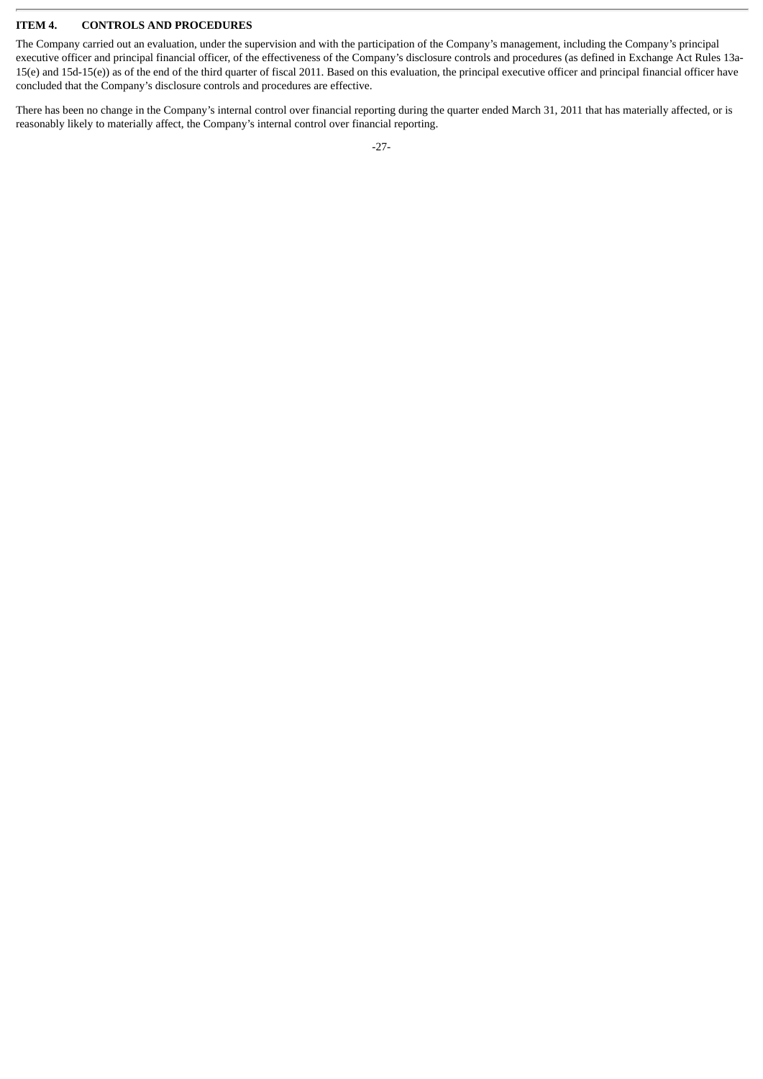## **ITEM 4. CONTROLS AND PROCEDURES**

The Company carried out an evaluation, under the supervision and with the participation of the Company's management, including the Company's principal executive officer and principal financial officer, of the effectiveness of the Company's disclosure controls and procedures (as defined in Exchange Act Rules 13a-15(e) and 15d-15(e)) as of the end of the third quarter of fiscal 2011. Based on this evaluation, the principal executive officer and principal financial officer have concluded that the Company's disclosure controls and procedures are effective.

There has been no change in the Company's internal control over financial reporting during the quarter ended March 31, 2011 that has materially affected, or is reasonably likely to materially affect, the Company's internal control over financial reporting.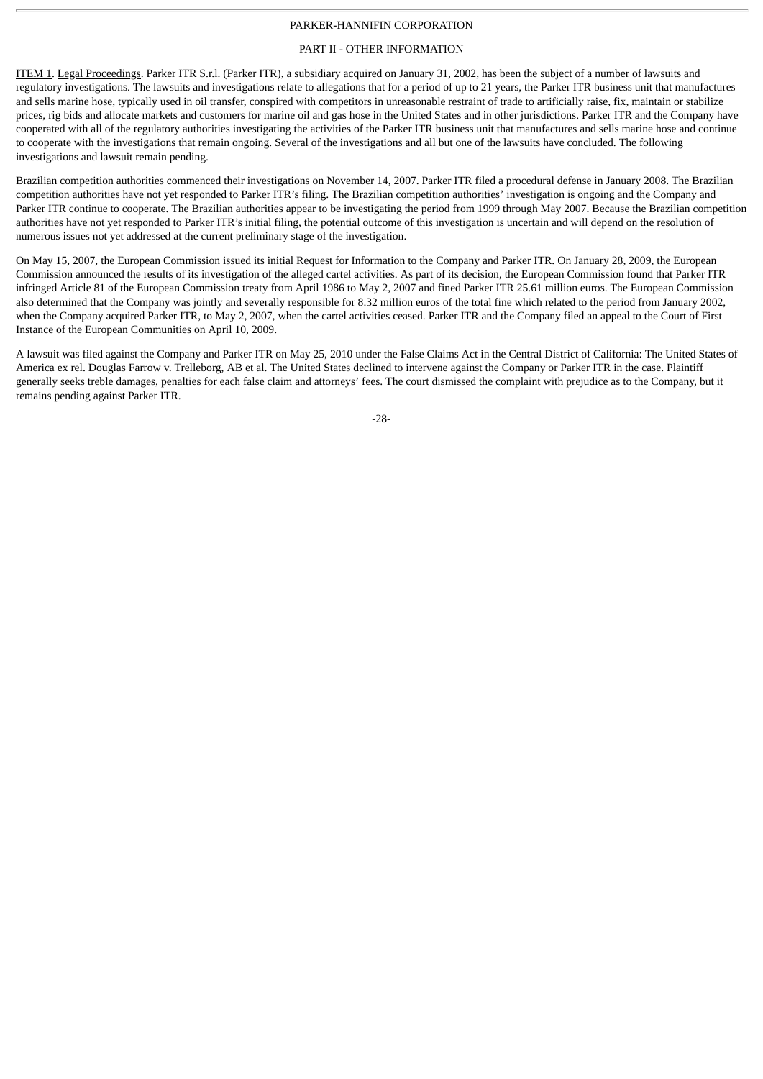## PARKER-HANNIFIN CORPORATION

# PART II - OTHER INFORMATION

ITEM 1. Legal Proceedings. Parker ITR S.r.l. (Parker ITR), a subsidiary acquired on January 31, 2002, has been the subject of a number of lawsuits and regulatory investigations. The lawsuits and investigations relate to allegations that for a period of up to 21 years, the Parker ITR business unit that manufactures and sells marine hose, typically used in oil transfer, conspired with competitors in unreasonable restraint of trade to artificially raise, fix, maintain or stabilize prices, rig bids and allocate markets and customers for marine oil and gas hose in the United States and in other jurisdictions. Parker ITR and the Company have cooperated with all of the regulatory authorities investigating the activities of the Parker ITR business unit that manufactures and sells marine hose and continue to cooperate with the investigations that remain ongoing. Several of the investigations and all but one of the lawsuits have concluded. The following investigations and lawsuit remain pending.

Brazilian competition authorities commenced their investigations on November 14, 2007. Parker ITR filed a procedural defense in January 2008. The Brazilian competition authorities have not yet responded to Parker ITR's filing. The Brazilian competition authorities' investigation is ongoing and the Company and Parker ITR continue to cooperate. The Brazilian authorities appear to be investigating the period from 1999 through May 2007. Because the Brazilian competition authorities have not yet responded to Parker ITR's initial filing, the potential outcome of this investigation is uncertain and will depend on the resolution of numerous issues not yet addressed at the current preliminary stage of the investigation.

On May 15, 2007, the European Commission issued its initial Request for Information to the Company and Parker ITR. On January 28, 2009, the European Commission announced the results of its investigation of the alleged cartel activities. As part of its decision, the European Commission found that Parker ITR infringed Article 81 of the European Commission treaty from April 1986 to May 2, 2007 and fined Parker ITR 25.61 million euros. The European Commission also determined that the Company was jointly and severally responsible for 8.32 million euros of the total fine which related to the period from January 2002, when the Company acquired Parker ITR, to May 2, 2007, when the cartel activities ceased. Parker ITR and the Company filed an appeal to the Court of First Instance of the European Communities on April 10, 2009.

A lawsuit was filed against the Company and Parker ITR on May 25, 2010 under the False Claims Act in the Central District of California: The United States of America ex rel. Douglas Farrow v. Trelleborg, AB et al. The United States declined to intervene against the Company or Parker ITR in the case. Plaintiff generally seeks treble damages, penalties for each false claim and attorneys' fees. The court dismissed the complaint with prejudice as to the Company, but it remains pending against Parker ITR.

-28-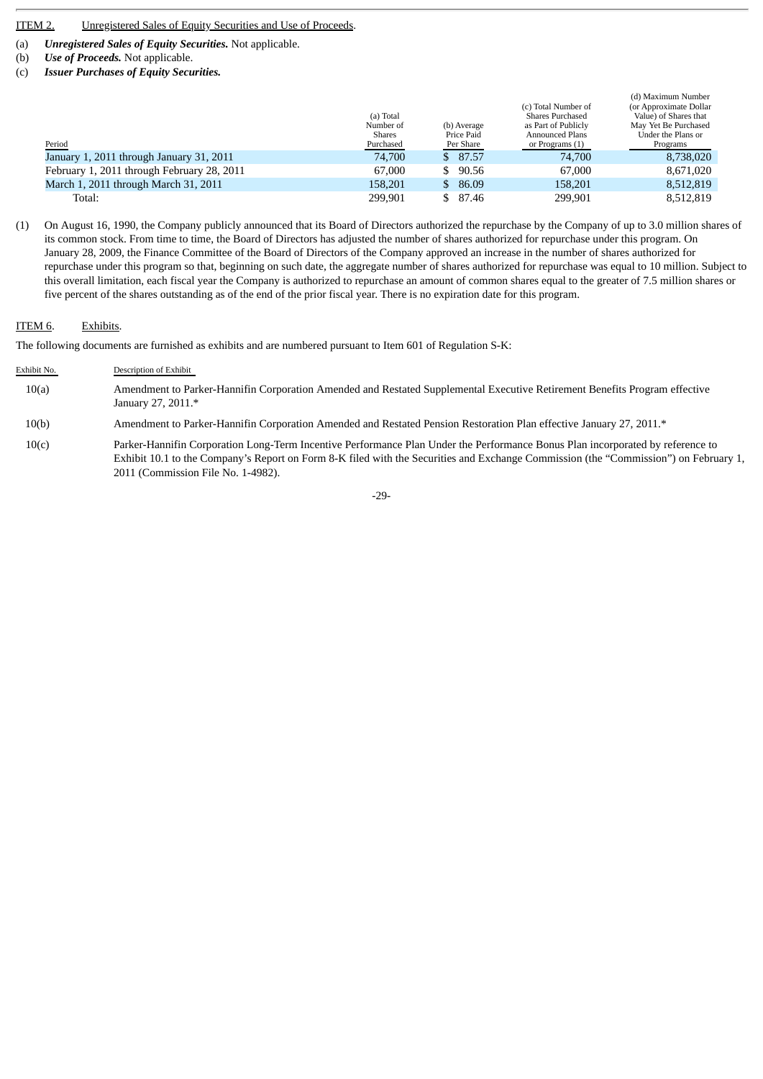# ITEM 2. Unregistered Sales of Equity Securities and Use of Proceeds.

(a) *Unregistered Sales of Equity Securities.* Not applicable.

- (b) *Use of Proceeds.* Not applicable.
- (c) *Issuer Purchases of Equity Securities.*

| Period                                     | (a) Total<br>Number of<br><b>Shares</b><br>Purchased | (b) Average<br>Price Paid<br>Per Share | (c) Total Number of<br>Shares Purchased<br>as Part of Publicly<br>Announced Plans<br>or Programs (1) | (d) Maximum Number<br>(or Approximate Dollar)<br>Value) of Shares that<br>May Yet Be Purchased<br>Under the Plans or<br>Programs |
|--------------------------------------------|------------------------------------------------------|----------------------------------------|------------------------------------------------------------------------------------------------------|----------------------------------------------------------------------------------------------------------------------------------|
| January 1, 2011 through January 31, 2011   | 74,700                                               | \$87.57                                | 74,700                                                                                               | 8,738,020                                                                                                                        |
| February 1, 2011 through February 28, 2011 | 67,000                                               | \$90.56                                | 67,000                                                                                               | 8,671,020                                                                                                                        |
| March 1, 2011 through March 31, 2011       | 158,201                                              | \$86.09                                | 158,201                                                                                              | 8,512,819                                                                                                                        |
| Total:                                     | 299.901                                              | \$ 87.46                               | 299.901                                                                                              | 8,512,819                                                                                                                        |

(1) On August 16, 1990, the Company publicly announced that its Board of Directors authorized the repurchase by the Company of up to 3.0 million shares of its common stock. From time to time, the Board of Directors has adjusted the number of shares authorized for repurchase under this program. On January 28, 2009, the Finance Committee of the Board of Directors of the Company approved an increase in the number of shares authorized for repurchase under this program so that, beginning on such date, the aggregate number of shares authorized for repurchase was equal to 10 million. Subject to this overall limitation, each fiscal year the Company is authorized to repurchase an amount of common shares equal to the greater of 7.5 million shares or five percent of the shares outstanding as of the end of the prior fiscal year. There is no expiration date for this program.

#### ITEM 6. Exhibits.

The following documents are furnished as exhibits and are numbered pursuant to Item 601 of Regulation S-K:

- Exhibit No. Description of Exhibit 10(a) Amendment to Parker-Hannifin Corporation Amended and Restated Supplemental Executive Retirement Benefits Program effective January 27, 2011.\*
- 10(b) Amendment to Parker-Hannifin Corporation Amended and Restated Pension Restoration Plan effective January 27, 2011.\*
- 10(c) Parker-Hannifin Corporation Long-Term Incentive Performance Plan Under the Performance Bonus Plan incorporated by reference to Exhibit 10.1 to the Company's Report on Form 8-K filed with the Securities and Exchange Commission (the "Commission") on February 1, 2011 (Commission File No. 1-4982).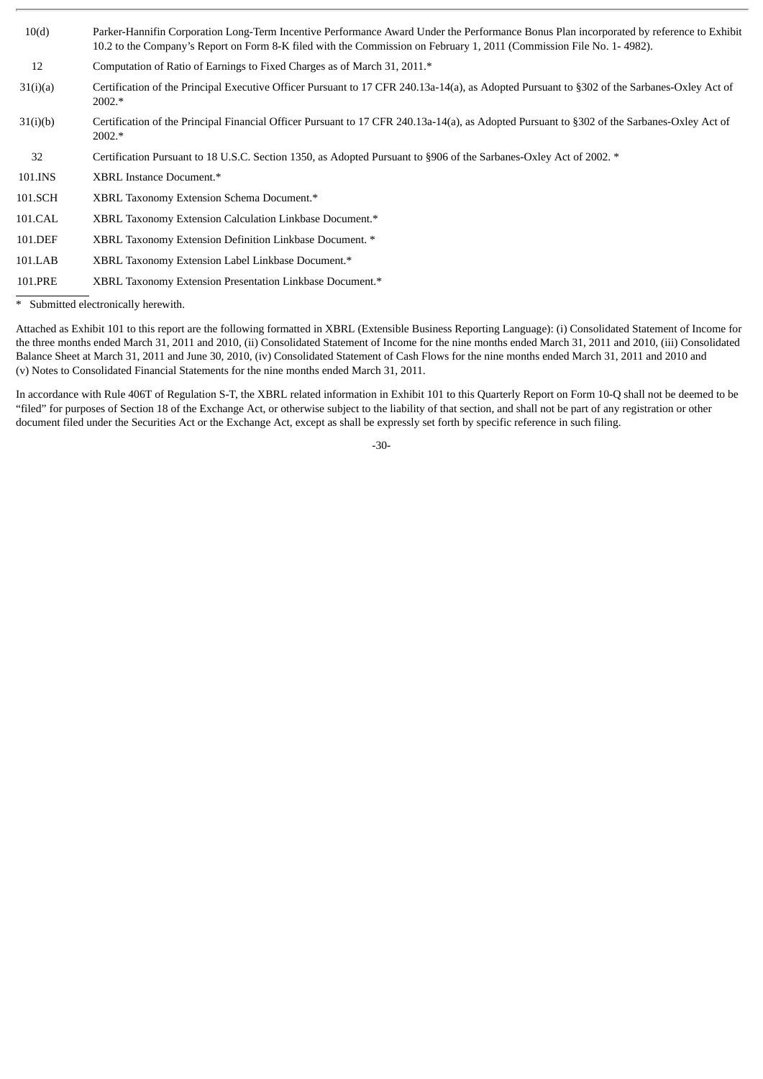| 10(d)    | Parker-Hannifin Corporation Long-Term Incentive Performance Award Under the Performance Bonus Plan incorporated by reference to Exhibit<br>10.2 to the Company's Report on Form 8-K filed with the Commission on February 1, 2011 (Commission File No. 1-4982). |
|----------|-----------------------------------------------------------------------------------------------------------------------------------------------------------------------------------------------------------------------------------------------------------------|
| 12       | Computation of Ratio of Earnings to Fixed Charges as of March 31, 2011.*                                                                                                                                                                                        |
| 31(i)(a) | Certification of the Principal Executive Officer Pursuant to 17 CFR 240.13a-14(a), as Adopted Pursuant to §302 of the Sarbanes-Oxley Act of<br>2002.*                                                                                                           |
| 31(i)(b) | Certification of the Principal Financial Officer Pursuant to 17 CFR 240.13a-14(a), as Adopted Pursuant to §302 of the Sarbanes-Oxley Act of<br>2002.*                                                                                                           |
| 32       | Certification Pursuant to 18 U.S.C. Section 1350, as Adopted Pursuant to §906 of the Sarbanes-Oxley Act of 2002. *                                                                                                                                              |
| 101.INS  | XBRL Instance Document.*                                                                                                                                                                                                                                        |
| 101.SCH  | XBRL Taxonomy Extension Schema Document.*                                                                                                                                                                                                                       |
| 101.CAL  | XBRL Taxonomy Extension Calculation Linkbase Document.*                                                                                                                                                                                                         |
| 101.DEF  | XBRL Taxonomy Extension Definition Linkbase Document. *                                                                                                                                                                                                         |
| 101.LAB  | XBRL Taxonomy Extension Label Linkbase Document.*                                                                                                                                                                                                               |
| 101.PRE  | XBRL Taxonomy Extension Presentation Linkbase Document.*                                                                                                                                                                                                        |
|          |                                                                                                                                                                                                                                                                 |

\* Submitted electronically herewith.

Attached as Exhibit 101 to this report are the following formatted in XBRL (Extensible Business Reporting Language): (i) Consolidated Statement of Income for the three months ended March 31, 2011 and 2010, (ii) Consolidated Statement of Income for the nine months ended March 31, 2011 and 2010, (iii) Consolidated Balance Sheet at March 31, 2011 and June 30, 2010, (iv) Consolidated Statement of Cash Flows for the nine months ended March 31, 2011 and 2010 and (v) Notes to Consolidated Financial Statements for the nine months ended March 31, 2011.

In accordance with Rule 406T of Regulation S-T, the XBRL related information in Exhibit 101 to this Quarterly Report on Form 10-Q shall not be deemed to be "filed" for purposes of Section 18 of the Exchange Act, or otherwise subject to the liability of that section, and shall not be part of any registration or other document filed under the Securities Act or the Exchange Act, except as shall be expressly set forth by specific reference in such filing.

-30-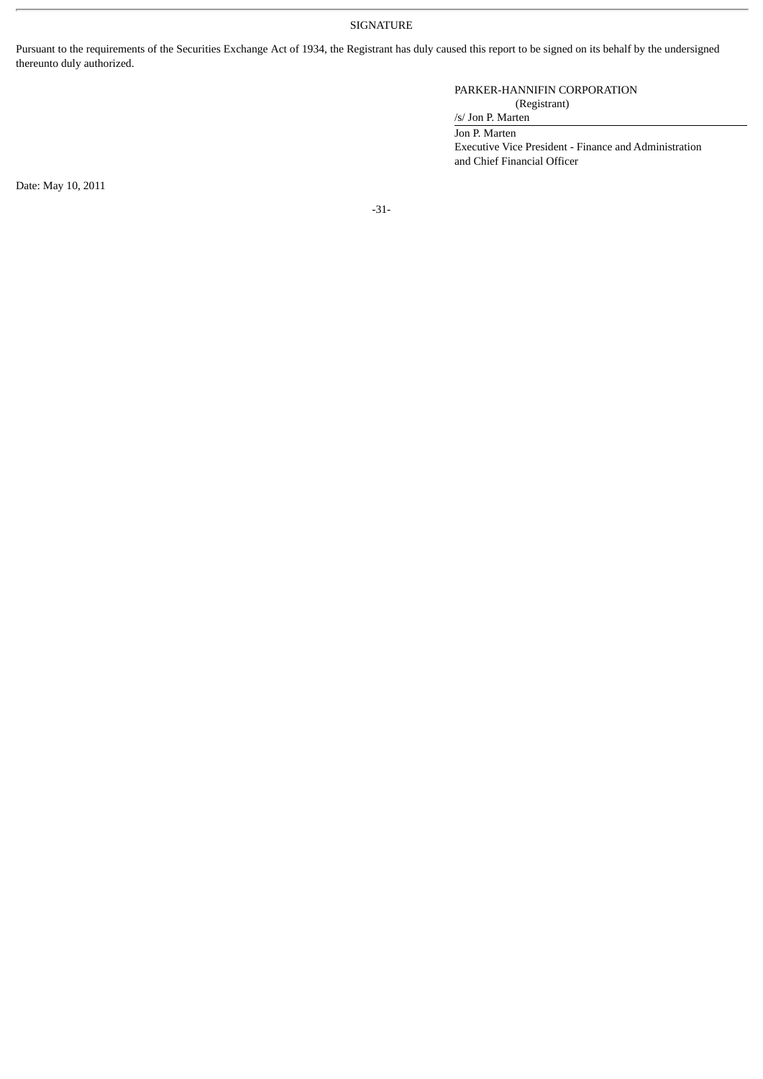SIGNATURE

Pursuant to the requirements of the Securities Exchange Act of 1934, the Registrant has duly caused this report to be signed on its behalf by the undersigned thereunto duly authorized.

# PARKER-HANNIFIN CORPORATION (Registrant)

/s/ Jon P. Marten

Jon P. Marten

Executive Vice President - Finance and Administration and Chief Financial Officer

Date: May 10, 2011

-31-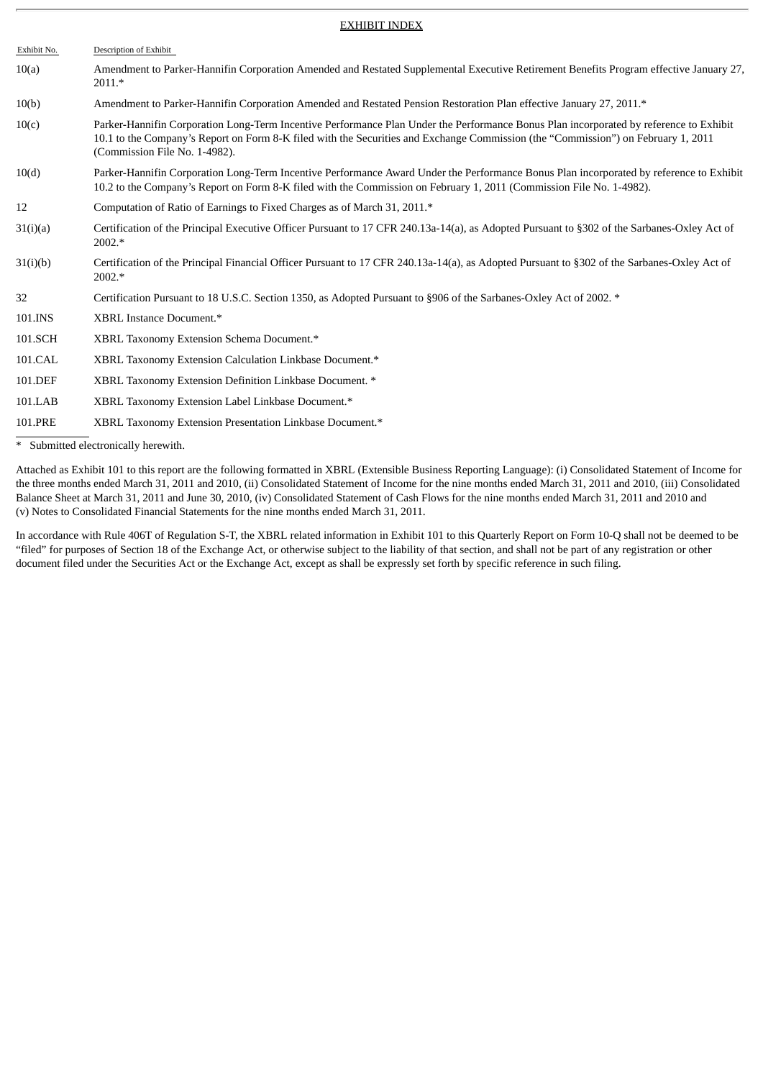#### EXHIBIT INDEX

| Exhibit No. | Description of Exhibit                                                                                                                                                                                                                                                                                       |
|-------------|--------------------------------------------------------------------------------------------------------------------------------------------------------------------------------------------------------------------------------------------------------------------------------------------------------------|
| 10(a)       | Amendment to Parker-Hannifin Corporation Amended and Restated Supplemental Executive Retirement Benefits Program effective January 27,<br>$2011.*$                                                                                                                                                           |
| 10(b)       | Amendment to Parker-Hannifin Corporation Amended and Restated Pension Restoration Plan effective January 27, 2011.*                                                                                                                                                                                          |
| 10(c)       | Parker-Hannifin Corporation Long-Term Incentive Performance Plan Under the Performance Bonus Plan incorporated by reference to Exhibit<br>10.1 to the Company's Report on Form 8-K filed with the Securities and Exchange Commission (the "Commission") on February 1, 2011<br>(Commission File No. 1-4982). |
| 10(d)       | Parker-Hannifin Corporation Long-Term Incentive Performance Award Under the Performance Bonus Plan incorporated by reference to Exhibit<br>10.2 to the Company's Report on Form 8-K filed with the Commission on February 1, 2011 (Commission File No. 1-4982).                                              |
| 12          | Computation of Ratio of Earnings to Fixed Charges as of March 31, 2011.*                                                                                                                                                                                                                                     |
| 31(i)(a)    | Certification of the Principal Executive Officer Pursuant to 17 CFR 240.13a-14(a), as Adopted Pursuant to §302 of the Sarbanes-Oxley Act of<br>2002.*                                                                                                                                                        |
| 31(i)(b)    | Certification of the Principal Financial Officer Pursuant to 17 CFR 240.13a-14(a), as Adopted Pursuant to §302 of the Sarbanes-Oxley Act of<br>2002.*                                                                                                                                                        |
| 32          | Certification Pursuant to 18 U.S.C. Section 1350, as Adopted Pursuant to §906 of the Sarbanes-Oxley Act of 2002. *                                                                                                                                                                                           |
| 101.INS     | XBRL Instance Document.*                                                                                                                                                                                                                                                                                     |
| 101.SCH     | XBRL Taxonomy Extension Schema Document.*                                                                                                                                                                                                                                                                    |
| 101.CAL     | XBRL Taxonomy Extension Calculation Linkbase Document.*                                                                                                                                                                                                                                                      |
| 101.DEF     | XBRL Taxonomy Extension Definition Linkbase Document. *                                                                                                                                                                                                                                                      |
| 101.LAB     | XBRL Taxonomy Extension Label Linkbase Document.*                                                                                                                                                                                                                                                            |
| 101.PRE     | XBRL Taxonomy Extension Presentation Linkbase Document.*                                                                                                                                                                                                                                                     |

\* Submitted electronically herewith.

Attached as Exhibit 101 to this report are the following formatted in XBRL (Extensible Business Reporting Language): (i) Consolidated Statement of Income for the three months ended March 31, 2011 and 2010, (ii) Consolidated Statement of Income for the nine months ended March 31, 2011 and 2010, (iii) Consolidated Balance Sheet at March 31, 2011 and June 30, 2010, (iv) Consolidated Statement of Cash Flows for the nine months ended March 31, 2011 and 2010 and (v) Notes to Consolidated Financial Statements for the nine months ended March 31, 2011.

In accordance with Rule 406T of Regulation S-T, the XBRL related information in Exhibit 101 to this Quarterly Report on Form 10-Q shall not be deemed to be "filed" for purposes of Section 18 of the Exchange Act, or otherwise subject to the liability of that section, and shall not be part of any registration or other document filed under the Securities Act or the Exchange Act, except as shall be expressly set forth by specific reference in such filing.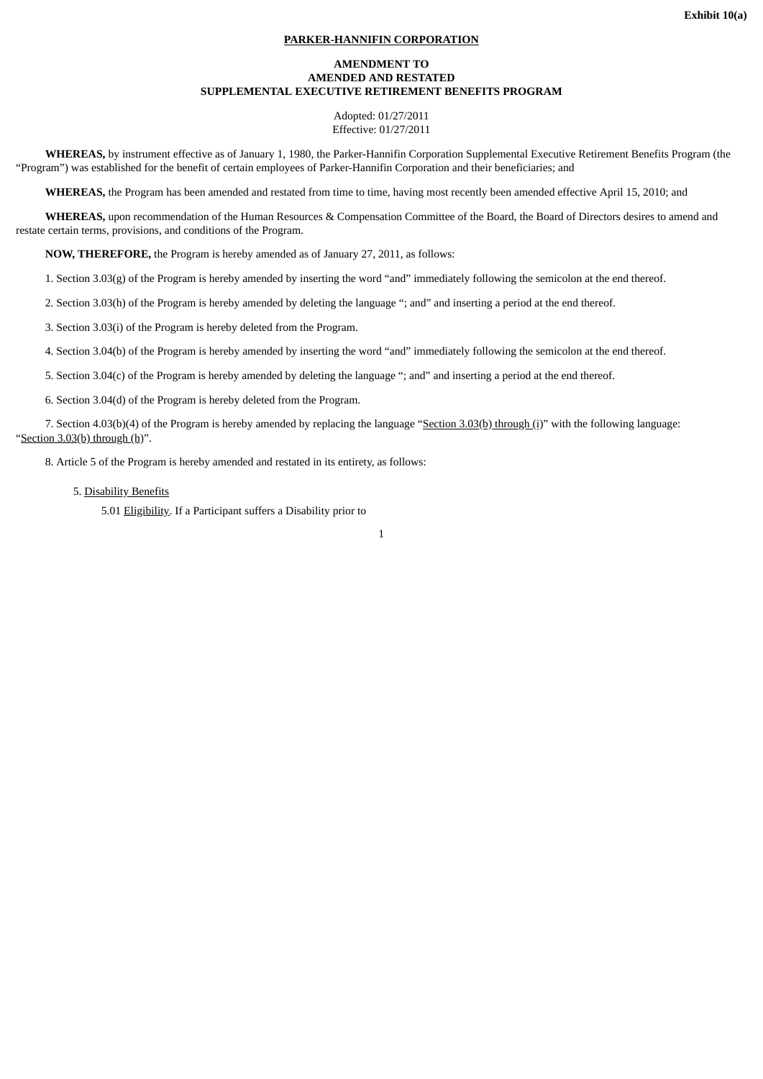# **PARKER-HANNIFIN CORPORATION**

#### **AMENDMENT TO AMENDED AND RESTATED SUPPLEMENTAL EXECUTIVE RETIREMENT BENEFITS PROGRAM**

Adopted: 01/27/2011 Effective: 01/27/2011

**WHEREAS,** by instrument effective as of January 1, 1980, the Parker-Hannifin Corporation Supplemental Executive Retirement Benefits Program (the "Program") was established for the benefit of certain employees of Parker-Hannifin Corporation and their beneficiaries; and

**WHEREAS,** the Program has been amended and restated from time to time, having most recently been amended effective April 15, 2010; and

**WHEREAS,** upon recommendation of the Human Resources & Compensation Committee of the Board, the Board of Directors desires to amend and restate certain terms, provisions, and conditions of the Program.

**NOW, THEREFORE,** the Program is hereby amended as of January 27, 2011, as follows:

1. Section 3.03(g) of the Program is hereby amended by inserting the word "and" immediately following the semicolon at the end thereof.

2. Section 3.03(h) of the Program is hereby amended by deleting the language "; and" and inserting a period at the end thereof.

3. Section 3.03(i) of the Program is hereby deleted from the Program.

4. Section 3.04(b) of the Program is hereby amended by inserting the word "and" immediately following the semicolon at the end thereof.

5. Section 3.04(c) of the Program is hereby amended by deleting the language "; and" and inserting a period at the end thereof.

6. Section 3.04(d) of the Program is hereby deleted from the Program.

7. Section 4.03(b)(4) of the Program is hereby amended by replacing the language "Section 3.03(b) through (i)" with the following language: "Section 3.03(b) through (h)".

8. Article 5 of the Program is hereby amended and restated in its entirety, as follows:

5. Disability Benefits

5.01 Eligibility. If a Participant suffers a Disability prior to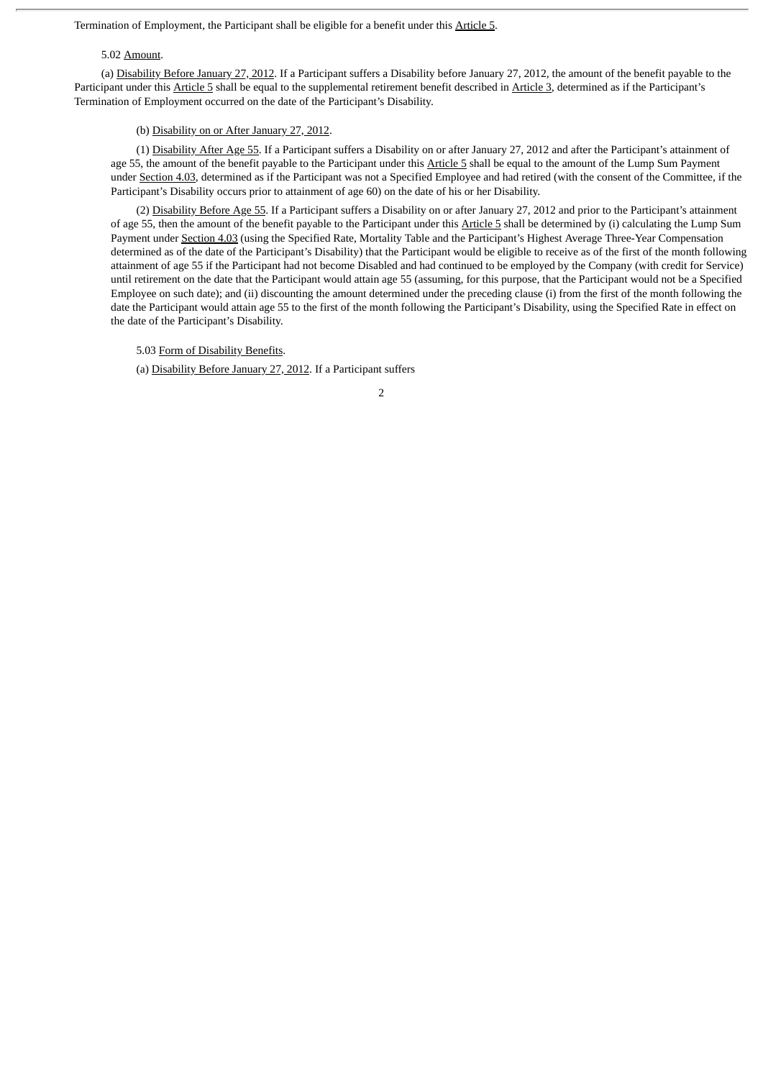Termination of Employment, the Participant shall be eligible for a benefit under this Article 5.

#### 5.02 Amount.

(a) Disability Before January 27, 2012. If a Participant suffers a Disability before January 27, 2012, the amount of the benefit payable to the Participant under this Article 5 shall be equal to the supplemental retirement benefit described in Article 3, determined as if the Participant's Termination of Employment occurred on the date of the Participant's Disability.

#### (b) Disability on or After January 27, 2012.

(1) Disability After Age 55. If a Participant suffers a Disability on or after January 27, 2012 and after the Participant's attainment of age 55, the amount of the benefit payable to the Participant under this Article 5 shall be equal to the amount of the Lump Sum Payment under Section 4.03, determined as if the Participant was not a Specified Employee and had retired (with the consent of the Committee, if the Participant's Disability occurs prior to attainment of age 60) on the date of his or her Disability.

(2) Disability Before Age 55. If a Participant suffers a Disability on or after January 27, 2012 and prior to the Participant's attainment of age 55, then the amount of the benefit payable to the Participant under this Article 5 shall be determined by (i) calculating the Lump Sum Payment under Section 4.03 (using the Specified Rate, Mortality Table and the Participant's Highest Average Three-Year Compensation determined as of the date of the Participant's Disability) that the Participant would be eligible to receive as of the first of the month following attainment of age 55 if the Participant had not become Disabled and had continued to be employed by the Company (with credit for Service) until retirement on the date that the Participant would attain age 55 (assuming, for this purpose, that the Participant would not be a Specified Employee on such date); and (ii) discounting the amount determined under the preceding clause (i) from the first of the month following the date the Participant would attain age 55 to the first of the month following the Participant's Disability, using the Specified Rate in effect on the date of the Participant's Disability.

5.03 Form of Disability Benefits.

(a) Disability Before January 27, 2012. If a Participant suffers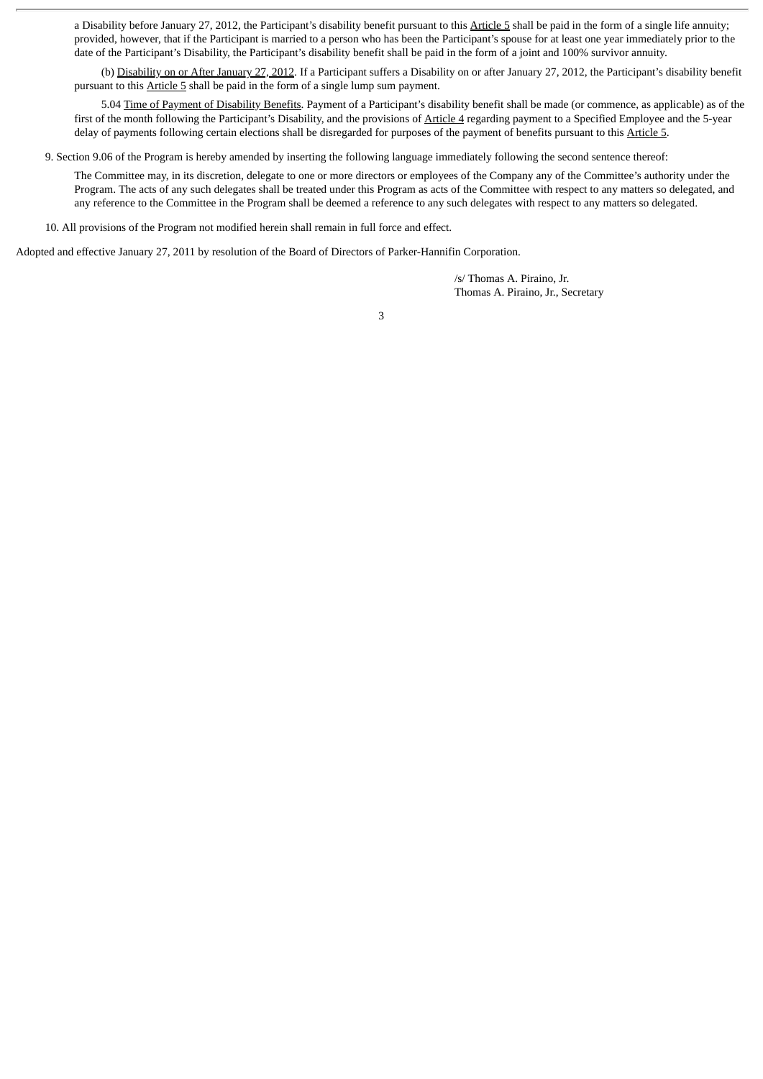a Disability before January 27, 2012, the Participant's disability benefit pursuant to this Article 5 shall be paid in the form of a single life annuity; provided, however, that if the Participant is married to a person who has been the Participant's spouse for at least one year immediately prior to the date of the Participant's Disability, the Participant's disability benefit shall be paid in the form of a joint and 100% survivor annuity.

(b) Disability on or After January 27, 2012. If a Participant suffers a Disability on or after January 27, 2012, the Participant's disability benefit pursuant to this Article 5 shall be paid in the form of a single lump sum payment.

5.04 Time of Payment of Disability Benefits. Payment of a Participant's disability benefit shall be made (or commence, as applicable) as of the first of the month following the Participant's Disability, and the provisions of Article 4 regarding payment to a Specified Employee and the 5-year delay of payments following certain elections shall be disregarded for purposes of the payment of benefits pursuant to this Article 5.

9. Section 9.06 of the Program is hereby amended by inserting the following language immediately following the second sentence thereof:

The Committee may, in its discretion, delegate to one or more directors or employees of the Company any of the Committee's authority under the Program. The acts of any such delegates shall be treated under this Program as acts of the Committee with respect to any matters so delegated, and any reference to the Committee in the Program shall be deemed a reference to any such delegates with respect to any matters so delegated.

10. All provisions of the Program not modified herein shall remain in full force and effect.

Adopted and effective January 27, 2011 by resolution of the Board of Directors of Parker-Hannifin Corporation.

/s/ Thomas A. Piraino, Jr. Thomas A. Piraino, Jr., Secretary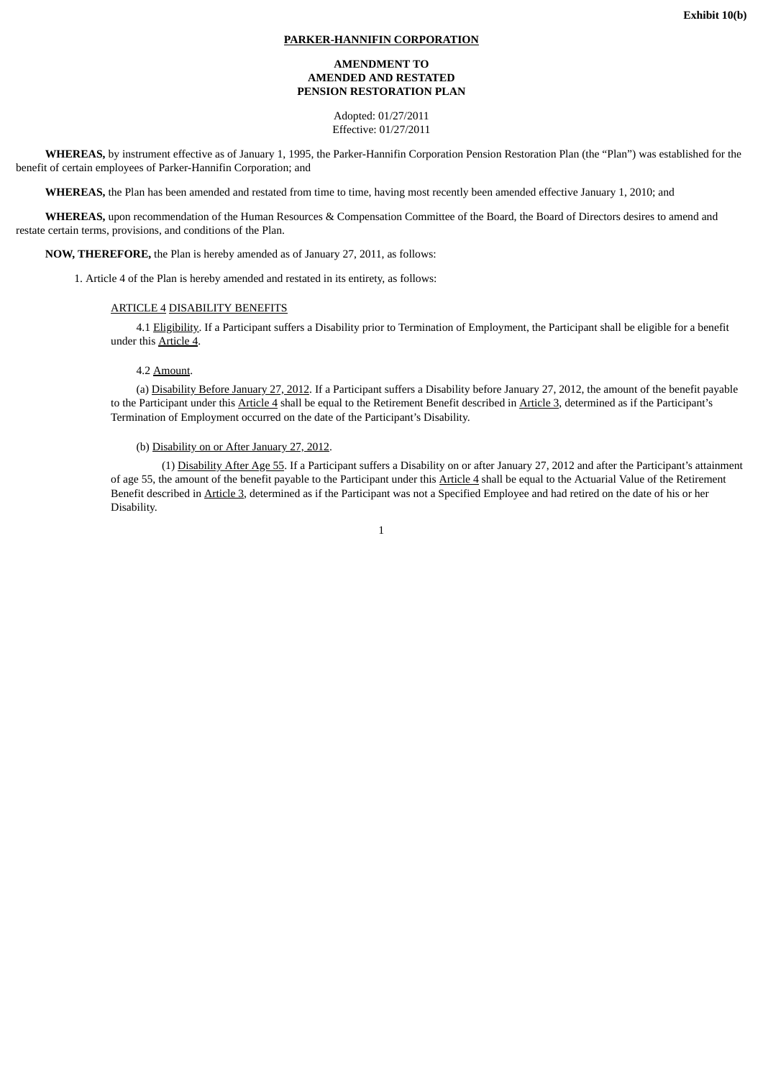# **PARKER-HANNIFIN CORPORATION**

## **AMENDMENT TO AMENDED AND RESTATED PENSION RESTORATION PLAN**

Adopted: 01/27/2011 Effective: 01/27/2011

**WHEREAS,** by instrument effective as of January 1, 1995, the Parker-Hannifin Corporation Pension Restoration Plan (the "Plan") was established for the benefit of certain employees of Parker-Hannifin Corporation; and

**WHEREAS,** the Plan has been amended and restated from time to time, having most recently been amended effective January 1, 2010; and

**WHEREAS,** upon recommendation of the Human Resources & Compensation Committee of the Board, the Board of Directors desires to amend and restate certain terms, provisions, and conditions of the Plan.

**NOW, THEREFORE,** the Plan is hereby amended as of January 27, 2011, as follows:

1. Article 4 of the Plan is hereby amended and restated in its entirety, as follows:

# ARTICLE 4 DISABILITY BENEFITS

4.1 Eligibility. If a Participant suffers a Disability prior to Termination of Employment, the Participant shall be eligible for a benefit under this Article 4.

#### 4.2 Amount.

(a) Disability Before January 27, 2012. If a Participant suffers a Disability before January 27, 2012, the amount of the benefit payable to the Participant under this Article 4 shall be equal to the Retirement Benefit described in Article 3, determined as if the Participant's Termination of Employment occurred on the date of the Participant's Disability.

## (b) Disability on or After January 27, 2012.

(1) Disability After Age 55. If a Participant suffers a Disability on or after January 27, 2012 and after the Participant's attainment of age 55, the amount of the benefit payable to the Participant under this Article 4 shall be equal to the Actuarial Value of the Retirement Benefit described in Article 3, determined as if the Participant was not a Specified Employee and had retired on the date of his or her Disability.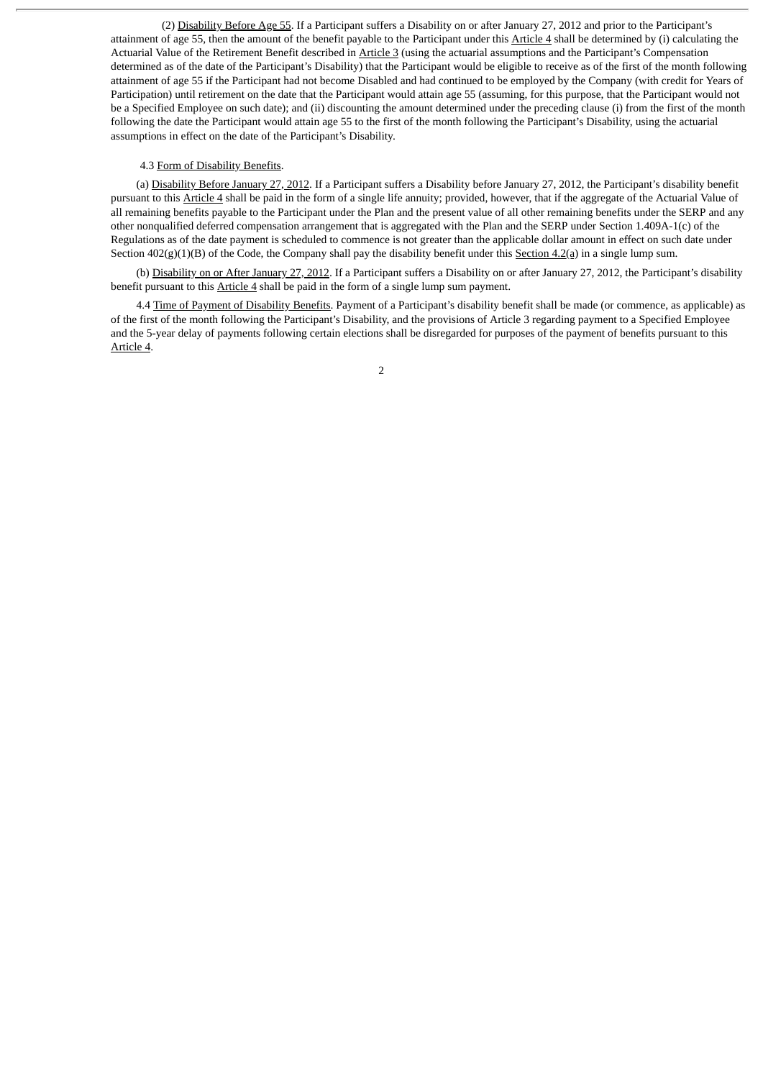(2) Disability Before Age 55. If a Participant suffers a Disability on or after January 27, 2012 and prior to the Participant's attainment of age 55, then the amount of the benefit payable to the Participant under this Article 4 shall be determined by (i) calculating the Actuarial Value of the Retirement Benefit described in Article 3 (using the actuarial assumptions and the Participant's Compensation determined as of the date of the Participant's Disability) that the Participant would be eligible to receive as of the first of the month following attainment of age 55 if the Participant had not become Disabled and had continued to be employed by the Company (with credit for Years of Participation) until retirement on the date that the Participant would attain age 55 (assuming, for this purpose, that the Participant would not be a Specified Employee on such date); and (ii) discounting the amount determined under the preceding clause (i) from the first of the month following the date the Participant would attain age 55 to the first of the month following the Participant's Disability, using the actuarial assumptions in effect on the date of the Participant's Disability.

## 4.3 Form of Disability Benefits.

(a) Disability Before January 27, 2012. If a Participant suffers a Disability before January 27, 2012, the Participant's disability benefit pursuant to this Article 4 shall be paid in the form of a single life annuity; provided, however, that if the aggregate of the Actuarial Value of all remaining benefits payable to the Participant under the Plan and the present value of all other remaining benefits under the SERP and any other nonqualified deferred compensation arrangement that is aggregated with the Plan and the SERP under Section 1.409A-1(c) of the Regulations as of the date payment is scheduled to commence is not greater than the applicable dollar amount in effect on such date under Section  $402(g)(1)(B)$  of the Code, the Company shall pay the disability benefit under this Section  $4.2(q)$  in a single lump sum.

(b) Disability on or After January 27, 2012. If a Participant suffers a Disability on or after January 27, 2012, the Participant's disability benefit pursuant to this Article 4 shall be paid in the form of a single lump sum payment.

4.4 Time of Payment of Disability Benefits. Payment of a Participant's disability benefit shall be made (or commence, as applicable) as of the first of the month following the Participant's Disability, and the provisions of Article 3 regarding payment to a Specified Employee and the 5-year delay of payments following certain elections shall be disregarded for purposes of the payment of benefits pursuant to this Article 4.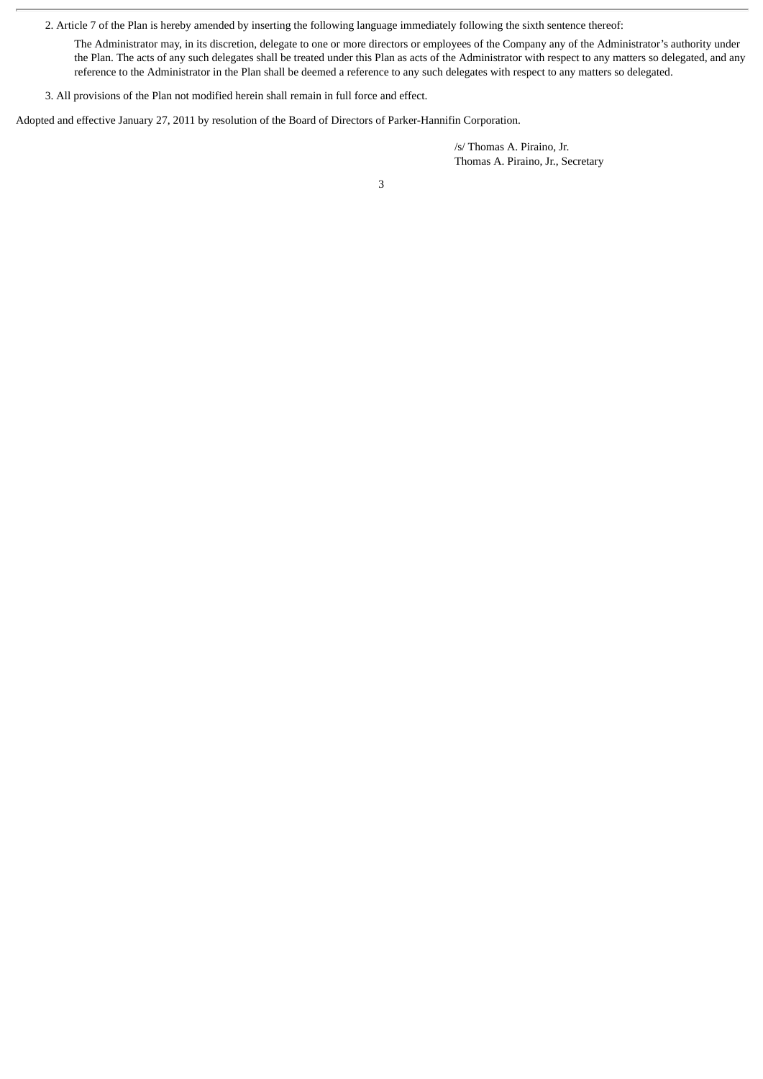2. Article 7 of the Plan is hereby amended by inserting the following language immediately following the sixth sentence thereof:

The Administrator may, in its discretion, delegate to one or more directors or employees of the Company any of the Administrator's authority under the Plan. The acts of any such delegates shall be treated under this Plan as acts of the Administrator with respect to any matters so delegated, and any reference to the Administrator in the Plan shall be deemed a reference to any such delegates with respect to any matters so delegated.

3. All provisions of the Plan not modified herein shall remain in full force and effect.

Adopted and effective January 27, 2011 by resolution of the Board of Directors of Parker-Hannifin Corporation.

/s/ Thomas A. Piraino, Jr. Thomas A. Piraino, Jr., Secretary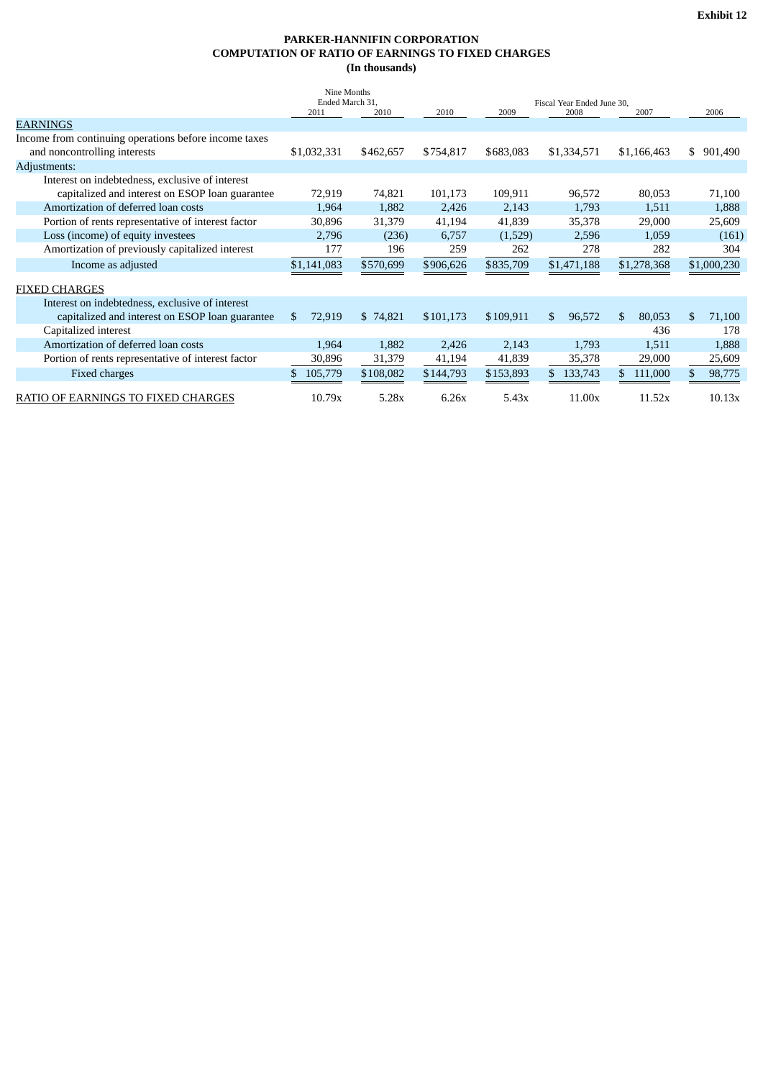# **PARKER-HANNIFIN CORPORATION COMPUTATION OF RATIO OF EARNINGS TO FIXED CHARGES (In thousands)**

|                                                       | Nine Months<br>Ended March 31,<br>2011 | 2010      | 2010      | 2009      | Fiscal Year Ended June 30.<br>2008 | 2007          |    | 2006        |
|-------------------------------------------------------|----------------------------------------|-----------|-----------|-----------|------------------------------------|---------------|----|-------------|
| <b>EARNINGS</b>                                       |                                        |           |           |           |                                    |               |    |             |
| Income from continuing operations before income taxes |                                        |           |           |           |                                    |               |    |             |
| and noncontrolling interests                          | \$1,032,331                            | \$462,657 | \$754,817 | \$683,083 | \$1,334,571                        | \$1,166,463   | S. | 901,490     |
| Adjustments:                                          |                                        |           |           |           |                                    |               |    |             |
| Interest on indebtedness, exclusive of interest       |                                        |           |           |           |                                    |               |    |             |
| capitalized and interest on ESOP loan guarantee       | 72,919                                 | 74,821    | 101,173   | 109,911   | 96,572                             | 80,053        |    | 71,100      |
| Amortization of deferred loan costs                   | 1,964                                  | 1,882     | 2,426     | 2,143     | 1,793                              | 1,511         |    | 1,888       |
| Portion of rents representative of interest factor    | 30,896                                 | 31,379    | 41,194    | 41,839    | 35,378                             | 29,000        |    | 25,609      |
| Loss (income) of equity investees                     | 2,796                                  | (236)     | 6,757     | (1,529)   | 2,596                              | 1,059         |    | (161)       |
| Amortization of previously capitalized interest       | 177                                    | 196       | 259       | 262       | 278                                | 282           |    | 304         |
| Income as adjusted                                    | \$1,141,083                            | \$570,699 | \$906,626 | \$835,709 | \$1,471,188                        | \$1,278,368   |    | \$1,000,230 |
|                                                       |                                        |           |           |           |                                    |               |    |             |
| <b>FIXED CHARGES</b>                                  |                                        |           |           |           |                                    |               |    |             |
| Interest on indebtedness, exclusive of interest       |                                        |           |           |           |                                    |               |    |             |
| capitalized and interest on ESOP loan guarantee       | 72,919<br>\$                           | \$74,821  | \$101,173 | \$109,911 | \$.<br>96,572                      | \$.<br>80,053 | \$ | 71,100      |
| Capitalized interest                                  |                                        |           |           |           |                                    | 436           |    | 178         |
| Amortization of deferred loan costs                   | 1,964                                  | 1,882     | 2,426     | 2,143     | 1,793                              | 1,511         |    | 1,888       |
| Portion of rents representative of interest factor    | 30,896                                 | 31,379    | 41,194    | 41,839    | 35,378                             | 29,000        |    | 25,609      |
| Fixed charges                                         | 105,779<br>S                           | \$108,082 | \$144,793 | \$153,893 | 133,743                            | 111,000       |    | 98,775      |
| RATIO OF EARNINGS TO FIXED CHARGES                    | 10.79x                                 | 5.28x     | 6.26x     | 5.43x     | 11.00x                             | 11.52x        |    | 10.13x      |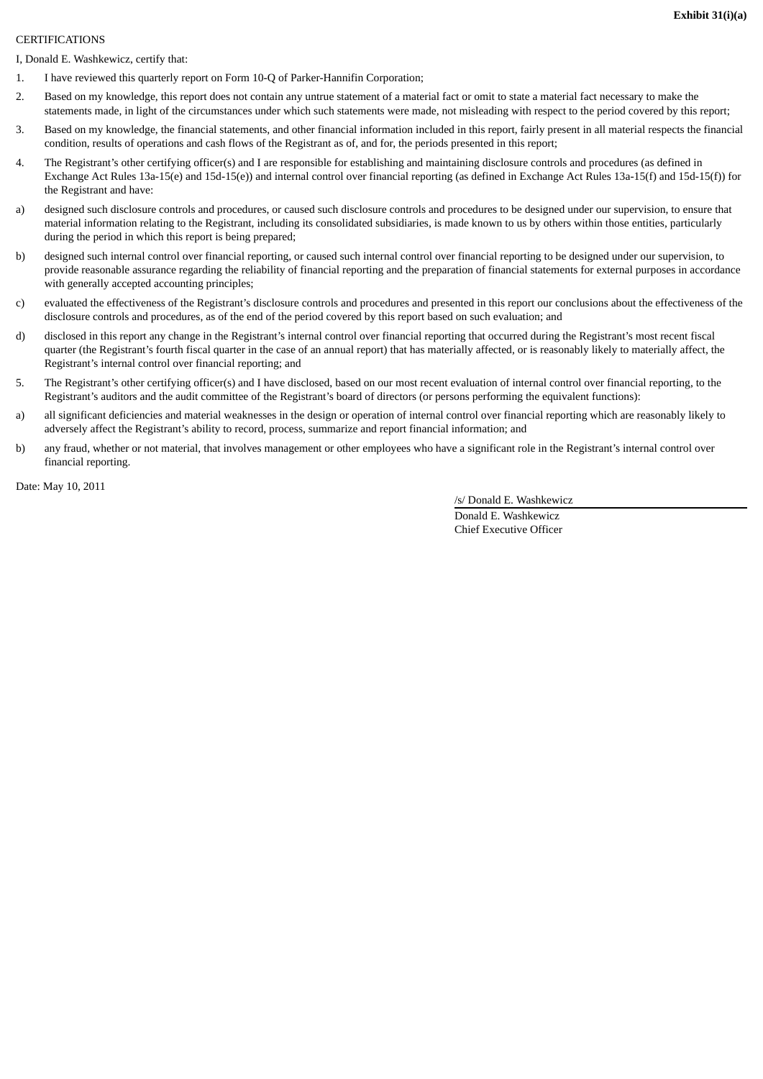#### CERTIFICATIONS

I, Donald E. Washkewicz, certify that:

- 1. I have reviewed this quarterly report on Form 10-Q of Parker-Hannifin Corporation;
- 2. Based on my knowledge, this report does not contain any untrue statement of a material fact or omit to state a material fact necessary to make the statements made, in light of the circumstances under which such statements were made, not misleading with respect to the period covered by this report;
- 3. Based on my knowledge, the financial statements, and other financial information included in this report, fairly present in all material respects the financial condition, results of operations and cash flows of the Registrant as of, and for, the periods presented in this report;
- 4. The Registrant's other certifying officer(s) and I are responsible for establishing and maintaining disclosure controls and procedures (as defined in Exchange Act Rules 13a-15(e) and 15d-15(e)) and internal control over financial reporting (as defined in Exchange Act Rules 13a-15(f) and 15d-15(f)) for the Registrant and have:
- a) designed such disclosure controls and procedures, or caused such disclosure controls and procedures to be designed under our supervision, to ensure that material information relating to the Registrant, including its consolidated subsidiaries, is made known to us by others within those entities, particularly during the period in which this report is being prepared;
- b) designed such internal control over financial reporting, or caused such internal control over financial reporting to be designed under our supervision, to provide reasonable assurance regarding the reliability of financial reporting and the preparation of financial statements for external purposes in accordance with generally accepted accounting principles;
- c) evaluated the effectiveness of the Registrant's disclosure controls and procedures and presented in this report our conclusions about the effectiveness of the disclosure controls and procedures, as of the end of the period covered by this report based on such evaluation; and
- d) disclosed in this report any change in the Registrant's internal control over financial reporting that occurred during the Registrant's most recent fiscal quarter (the Registrant's fourth fiscal quarter in the case of an annual report) that has materially affected, or is reasonably likely to materially affect, the Registrant's internal control over financial reporting; and
- 5. The Registrant's other certifying officer(s) and I have disclosed, based on our most recent evaluation of internal control over financial reporting, to the Registrant's auditors and the audit committee of the Registrant's board of directors (or persons performing the equivalent functions):
- a) all significant deficiencies and material weaknesses in the design or operation of internal control over financial reporting which are reasonably likely to adversely affect the Registrant's ability to record, process, summarize and report financial information; and
- b) any fraud, whether or not material, that involves management or other employees who have a significant role in the Registrant's internal control over financial reporting.

Date: May 10, 2011

/s/ Donald E. Washkewicz Donald E. Washkewicz Chief Executive Officer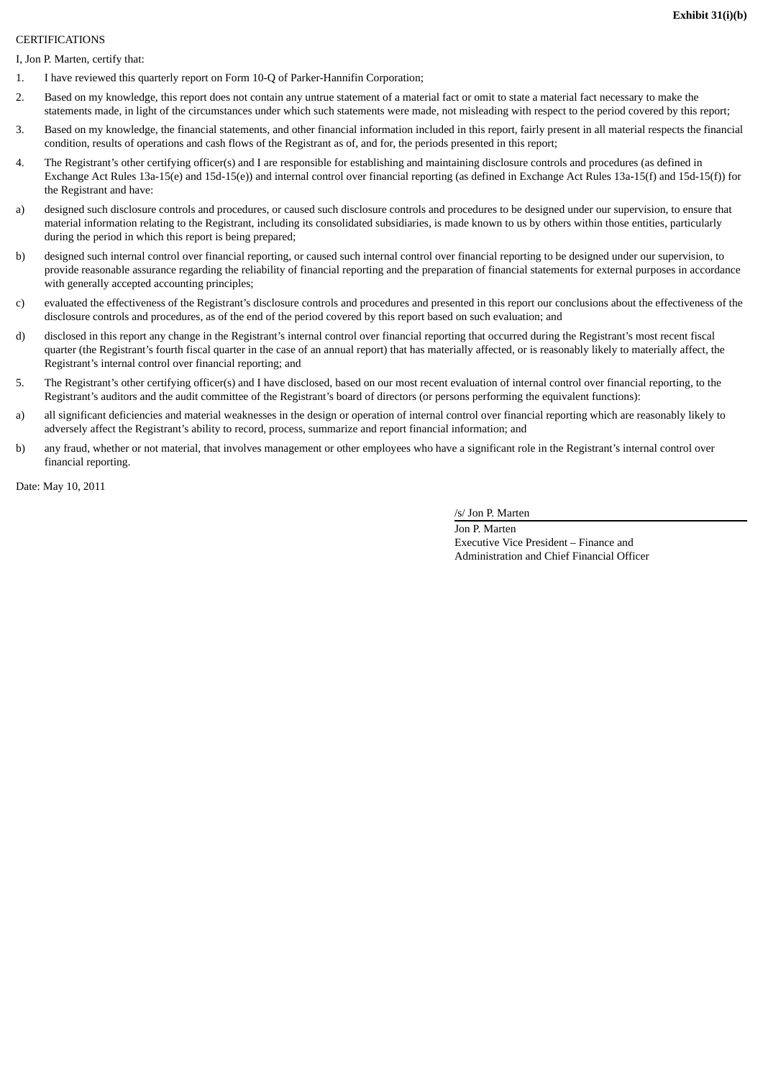#### **CERTIFICATIONS**

I, Jon P. Marten, certify that:

- 1. I have reviewed this quarterly report on Form 10-Q of Parker-Hannifin Corporation;
- 2. Based on my knowledge, this report does not contain any untrue statement of a material fact or omit to state a material fact necessary to make the statements made, in light of the circumstances under which such statements were made, not misleading with respect to the period covered by this report;
- 3. Based on my knowledge, the financial statements, and other financial information included in this report, fairly present in all material respects the financial condition, results of operations and cash flows of the Registrant as of, and for, the periods presented in this report;
- 4. The Registrant's other certifying officer(s) and I are responsible for establishing and maintaining disclosure controls and procedures (as defined in Exchange Act Rules 13a-15(e) and 15d-15(e)) and internal control over financial reporting (as defined in Exchange Act Rules 13a-15(f) and 15d-15(f)) for the Registrant and have:
- a) designed such disclosure controls and procedures, or caused such disclosure controls and procedures to be designed under our supervision, to ensure that material information relating to the Registrant, including its consolidated subsidiaries, is made known to us by others within those entities, particularly during the period in which this report is being prepared;
- b) designed such internal control over financial reporting, or caused such internal control over financial reporting to be designed under our supervision, to provide reasonable assurance regarding the reliability of financial reporting and the preparation of financial statements for external purposes in accordance with generally accepted accounting principles;
- c) evaluated the effectiveness of the Registrant's disclosure controls and procedures and presented in this report our conclusions about the effectiveness of the disclosure controls and procedures, as of the end of the period covered by this report based on such evaluation; and
- d) disclosed in this report any change in the Registrant's internal control over financial reporting that occurred during the Registrant's most recent fiscal quarter (the Registrant's fourth fiscal quarter in the case of an annual report) that has materially affected, or is reasonably likely to materially affect, the Registrant's internal control over financial reporting; and
- 5. The Registrant's other certifying officer(s) and I have disclosed, based on our most recent evaluation of internal control over financial reporting, to the Registrant's auditors and the audit committee of the Registrant's board of directors (or persons performing the equivalent functions):
- a) all significant deficiencies and material weaknesses in the design or operation of internal control over financial reporting which are reasonably likely to adversely affect the Registrant's ability to record, process, summarize and report financial information; and
- b) any fraud, whether or not material, that involves management or other employees who have a significant role in the Registrant's internal control over financial reporting.

Date: May 10, 2011

/s/ Jon P. Marten

Jon P. Marten Executive Vice President – Finance and Administration and Chief Financial Officer